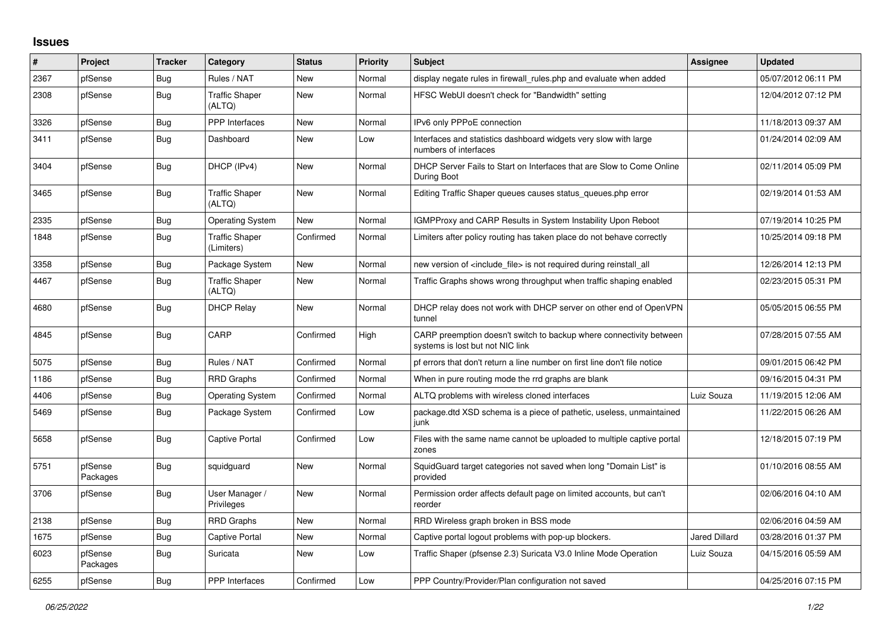## **Issues**

| #    | Project             | <b>Tracker</b> | Category                            | <b>Status</b> | <b>Priority</b> | <b>Subject</b>                                                                                          | Assignee             | <b>Updated</b>      |
|------|---------------------|----------------|-------------------------------------|---------------|-----------------|---------------------------------------------------------------------------------------------------------|----------------------|---------------------|
| 2367 | pfSense             | Bug            | Rules / NAT                         | <b>New</b>    | Normal          | display negate rules in firewall_rules.php and evaluate when added                                      |                      | 05/07/2012 06:11 PM |
| 2308 | pfSense             | <b>Bug</b>     | <b>Traffic Shaper</b><br>(ALTQ)     | New           | Normal          | HFSC WebUI doesn't check for "Bandwidth" setting                                                        |                      | 12/04/2012 07:12 PM |
| 3326 | pfSense             | <b>Bug</b>     | <b>PPP</b> Interfaces               | <b>New</b>    | Normal          | IPv6 only PPPoE connection                                                                              |                      | 11/18/2013 09:37 AM |
| 3411 | pfSense             | Bug            | Dashboard                           | <b>New</b>    | Low             | Interfaces and statistics dashboard widgets very slow with large<br>numbers of interfaces               |                      | 01/24/2014 02:09 AM |
| 3404 | pfSense             | <b>Bug</b>     | DHCP (IPv4)                         | New           | Normal          | DHCP Server Fails to Start on Interfaces that are Slow to Come Online<br>During Boot                    |                      | 02/11/2014 05:09 PM |
| 3465 | pfSense             | <b>Bug</b>     | <b>Traffic Shaper</b><br>(ALTQ)     | New           | Normal          | Editing Traffic Shaper queues causes status queues.php error                                            |                      | 02/19/2014 01:53 AM |
| 2335 | pfSense             | Bug            | <b>Operating System</b>             | New           | Normal          | <b>IGMPProxy and CARP Results in System Instability Upon Reboot</b>                                     |                      | 07/19/2014 10:25 PM |
| 1848 | pfSense             | <b>Bug</b>     | <b>Traffic Shaper</b><br>(Limiters) | Confirmed     | Normal          | Limiters after policy routing has taken place do not behave correctly                                   |                      | 10/25/2014 09:18 PM |
| 3358 | pfSense             | Bug            | Package System                      | <b>New</b>    | Normal          | new version of <include file=""> is not required during reinstall all</include>                         |                      | 12/26/2014 12:13 PM |
| 4467 | pfSense             | Bug            | <b>Traffic Shaper</b><br>(ALTQ)     | <b>New</b>    | Normal          | Traffic Graphs shows wrong throughput when traffic shaping enabled                                      |                      | 02/23/2015 05:31 PM |
| 4680 | pfSense             | Bug            | <b>DHCP Relay</b>                   | New           | Normal          | DHCP relay does not work with DHCP server on other end of OpenVPN<br>tunnel                             |                      | 05/05/2015 06:55 PM |
| 4845 | pfSense             | <b>Bug</b>     | CARP                                | Confirmed     | High            | CARP preemption doesn't switch to backup where connectivity between<br>systems is lost but not NIC link |                      | 07/28/2015 07:55 AM |
| 5075 | pfSense             | Bug            | Rules / NAT                         | Confirmed     | Normal          | pf errors that don't return a line number on first line don't file notice                               |                      | 09/01/2015 06:42 PM |
| 1186 | pfSense             | <b>Bug</b>     | <b>RRD Graphs</b>                   | Confirmed     | Normal          | When in pure routing mode the rrd graphs are blank                                                      |                      | 09/16/2015 04:31 PM |
| 4406 | pfSense             | Bug            | <b>Operating System</b>             | Confirmed     | Normal          | ALTQ problems with wireless cloned interfaces                                                           | Luiz Souza           | 11/19/2015 12:06 AM |
| 5469 | pfSense             | Bug            | Package System                      | Confirmed     | Low             | package dtd XSD schema is a piece of pathetic, useless, unmaintained<br>junk                            |                      | 11/22/2015 06:26 AM |
| 5658 | pfSense             | <b>Bug</b>     | <b>Captive Portal</b>               | Confirmed     | Low             | Files with the same name cannot be uploaded to multiple captive portal<br>zones                         |                      | 12/18/2015 07:19 PM |
| 5751 | pfSense<br>Packages | <b>Bug</b>     | squidguard                          | New           | Normal          | SquidGuard target categories not saved when long "Domain List" is<br>provided                           |                      | 01/10/2016 08:55 AM |
| 3706 | pfSense             | <b>Bug</b>     | User Manager /<br>Privileges        | New           | Normal          | Permission order affects default page on limited accounts, but can't<br>reorder                         |                      | 02/06/2016 04:10 AM |
| 2138 | pfSense             | Bug            | <b>RRD Graphs</b>                   | New           | Normal          | RRD Wireless graph broken in BSS mode                                                                   |                      | 02/06/2016 04:59 AM |
| 1675 | pfSense             | Bug            | <b>Captive Portal</b>               | New           | Normal          | Captive portal logout problems with pop-up blockers.                                                    | <b>Jared Dillard</b> | 03/28/2016 01:37 PM |
| 6023 | pfSense<br>Packages | Bug            | Suricata                            | New           | Low             | Traffic Shaper (pfsense 2.3) Suricata V3.0 Inline Mode Operation                                        | Luiz Souza           | 04/15/2016 05:59 AM |
| 6255 | pfSense             | <b>Bug</b>     | PPP Interfaces                      | Confirmed     | Low             | PPP Country/Provider/Plan configuration not saved                                                       |                      | 04/25/2016 07:15 PM |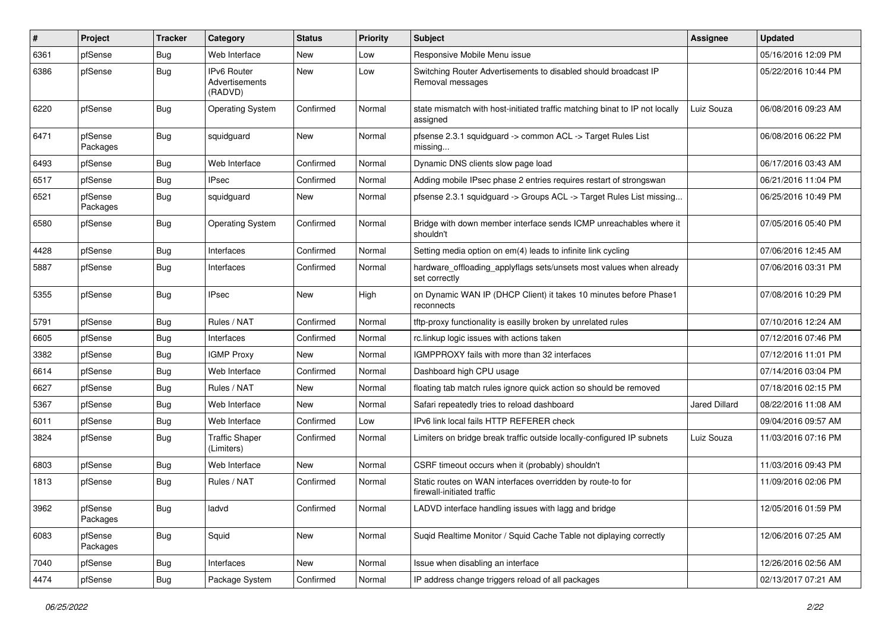| $\sharp$ | Project             | <b>Tracker</b> | Category                                        | <b>Status</b> | <b>Priority</b> | <b>Subject</b>                                                                           | <b>Assignee</b> | <b>Updated</b>      |
|----------|---------------------|----------------|-------------------------------------------------|---------------|-----------------|------------------------------------------------------------------------------------------|-----------------|---------------------|
| 6361     | pfSense             | Bug            | Web Interface                                   | New           | Low             | Responsive Mobile Menu issue                                                             |                 | 05/16/2016 12:09 PM |
| 6386     | pfSense             | <b>Bug</b>     | <b>IPv6 Router</b><br>Advertisements<br>(RADVD) | <b>New</b>    | Low             | Switching Router Advertisements to disabled should broadcast IP<br>Removal messages      |                 | 05/22/2016 10:44 PM |
| 6220     | pfSense             | <b>Bug</b>     | <b>Operating System</b>                         | Confirmed     | Normal          | state mismatch with host-initiated traffic matching binat to IP not locally<br>assigned  | Luiz Souza      | 06/08/2016 09:23 AM |
| 6471     | pfSense<br>Packages | <b>Bug</b>     | squidguard                                      | <b>New</b>    | Normal          | pfsense 2.3.1 squidguard -> common ACL -> Target Rules List<br>missing                   |                 | 06/08/2016 06:22 PM |
| 6493     | pfSense             | Bug            | Web Interface                                   | Confirmed     | Normal          | Dynamic DNS clients slow page load                                                       |                 | 06/17/2016 03:43 AM |
| 6517     | pfSense             | Bug            | <b>IPsec</b>                                    | Confirmed     | Normal          | Adding mobile IPsec phase 2 entries requires restart of strongswan                       |                 | 06/21/2016 11:04 PM |
| 6521     | pfSense<br>Packages | Bug            | squidguard                                      | New           | Normal          | pfsense 2.3.1 squidguard -> Groups ACL -> Target Rules List missing                      |                 | 06/25/2016 10:49 PM |
| 6580     | pfSense             | <b>Bug</b>     | <b>Operating System</b>                         | Confirmed     | Normal          | Bridge with down member interface sends ICMP unreachables where it<br>shouldn't          |                 | 07/05/2016 05:40 PM |
| 4428     | pfSense             | Bug            | Interfaces                                      | Confirmed     | Normal          | Setting media option on em(4) leads to infinite link cycling                             |                 | 07/06/2016 12:45 AM |
| 5887     | pfSense             | Bug            | Interfaces                                      | Confirmed     | Normal          | hardware_offloading_applyflags sets/unsets most values when already<br>set correctly     |                 | 07/06/2016 03:31 PM |
| 5355     | pfSense             | Bug            | <b>IPsec</b>                                    | New           | High            | on Dynamic WAN IP (DHCP Client) it takes 10 minutes before Phase1<br>reconnects          |                 | 07/08/2016 10:29 PM |
| 5791     | pfSense             | <b>Bug</b>     | Rules / NAT                                     | Confirmed     | Normal          | tftp-proxy functionality is easilly broken by unrelated rules                            |                 | 07/10/2016 12:24 AM |
| 6605     | pfSense             | Bug            | Interfaces                                      | Confirmed     | Normal          | rc.linkup logic issues with actions taken                                                |                 | 07/12/2016 07:46 PM |
| 3382     | pfSense             | <b>Bug</b>     | <b>IGMP Proxy</b>                               | New           | Normal          | IGMPPROXY fails with more than 32 interfaces                                             |                 | 07/12/2016 11:01 PM |
| 6614     | pfSense             | <b>Bug</b>     | Web Interface                                   | Confirmed     | Normal          | Dashboard high CPU usage                                                                 |                 | 07/14/2016 03:04 PM |
| 6627     | pfSense             | Bug            | Rules / NAT                                     | <b>New</b>    | Normal          | floating tab match rules ignore quick action so should be removed                        |                 | 07/18/2016 02:15 PM |
| 5367     | pfSense             | Bug            | Web Interface                                   | New           | Normal          | Safari repeatedly tries to reload dashboard                                              | Jared Dillard   | 08/22/2016 11:08 AM |
| 6011     | pfSense             | Bug            | Web Interface                                   | Confirmed     | Low             | IPv6 link local fails HTTP REFERER check                                                 |                 | 09/04/2016 09:57 AM |
| 3824     | pfSense             | <b>Bug</b>     | <b>Traffic Shaper</b><br>(Limiters)             | Confirmed     | Normal          | Limiters on bridge break traffic outside locally-configured IP subnets                   | Luiz Souza      | 11/03/2016 07:16 PM |
| 6803     | pfSense             | <b>Bug</b>     | Web Interface                                   | <b>New</b>    | Normal          | CSRF timeout occurs when it (probably) shouldn't                                         |                 | 11/03/2016 09:43 PM |
| 1813     | pfSense             | Bug            | Rules / NAT                                     | Confirmed     | Normal          | Static routes on WAN interfaces overridden by route-to for<br>firewall-initiated traffic |                 | 11/09/2016 02:06 PM |
| 3962     | pfSense<br>Packages | Bug            | ladvd                                           | Confirmed     | Normal          | LADVD interface handling issues with lagg and bridge                                     |                 | 12/05/2016 01:59 PM |
| 6083     | pfSense<br>Packages | <b>Bug</b>     | Squid                                           | New           | Normal          | Suqid Realtime Monitor / Squid Cache Table not diplaying correctly                       |                 | 12/06/2016 07:25 AM |
| 7040     | pfSense             | <b>Bug</b>     | Interfaces                                      | New           | Normal          | Issue when disabling an interface                                                        |                 | 12/26/2016 02:56 AM |
| 4474     | pfSense             | <b>Bug</b>     | Package System                                  | Confirmed     | Normal          | IP address change triggers reload of all packages                                        |                 | 02/13/2017 07:21 AM |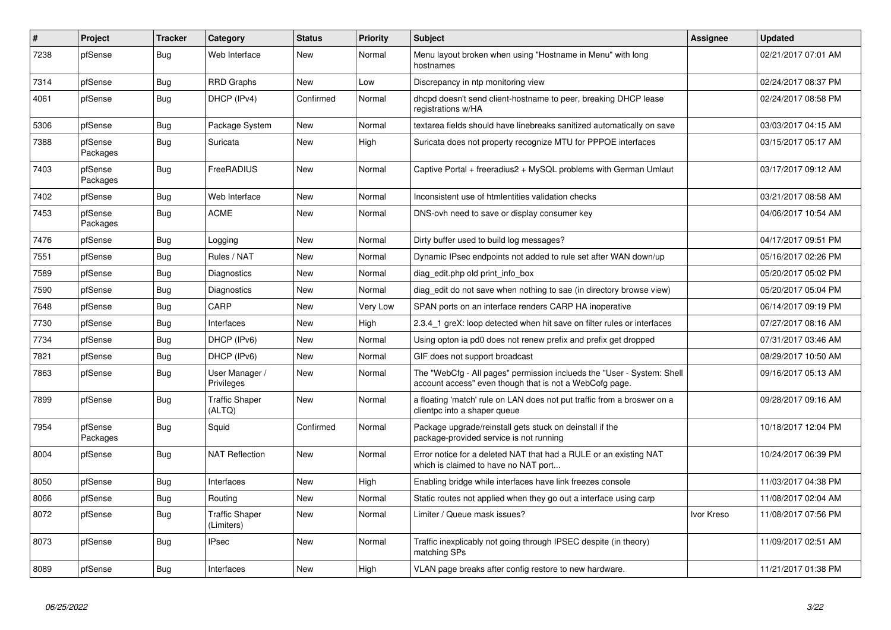| $\sharp$ | Project             | <b>Tracker</b> | Category                            | <b>Status</b> | <b>Priority</b> | <b>Subject</b>                                                                                                                    | Assignee   | <b>Updated</b>      |
|----------|---------------------|----------------|-------------------------------------|---------------|-----------------|-----------------------------------------------------------------------------------------------------------------------------------|------------|---------------------|
| 7238     | pfSense             | <b>Bug</b>     | Web Interface                       | New           | Normal          | Menu layout broken when using "Hostname in Menu" with long<br>hostnames                                                           |            | 02/21/2017 07:01 AM |
| 7314     | pfSense             | <b>Bug</b>     | <b>RRD Graphs</b>                   | New           | Low             | Discrepancy in ntp monitoring view                                                                                                |            | 02/24/2017 08:37 PM |
| 4061     | pfSense             | <b>Bug</b>     | DHCP (IPv4)                         | Confirmed     | Normal          | dhcpd doesn't send client-hostname to peer, breaking DHCP lease<br>registrations w/HA                                             |            | 02/24/2017 08:58 PM |
| 5306     | pfSense             | <b>Bug</b>     | Package System                      | New           | Normal          | textarea fields should have linebreaks sanitized automatically on save                                                            |            | 03/03/2017 04:15 AM |
| 7388     | pfSense<br>Packages | <b>Bug</b>     | Suricata                            | New           | High            | Suricata does not property recognize MTU for PPPOE interfaces                                                                     |            | 03/15/2017 05:17 AM |
| 7403     | pfSense<br>Packages | <b>Bug</b>     | FreeRADIUS                          | <b>New</b>    | Normal          | Captive Portal + freeradius2 + MySQL problems with German Umlaut                                                                  |            | 03/17/2017 09:12 AM |
| 7402     | pfSense             | <b>Bug</b>     | Web Interface                       | <b>New</b>    | Normal          | Inconsistent use of htmlentities validation checks                                                                                |            | 03/21/2017 08:58 AM |
| 7453     | pfSense<br>Packages | Bug            | ACME                                | <b>New</b>    | Normal          | DNS-ovh need to save or display consumer key                                                                                      |            | 04/06/2017 10:54 AM |
| 7476     | pfSense             | Bug            | Logging                             | <b>New</b>    | Normal          | Dirty buffer used to build log messages?                                                                                          |            | 04/17/2017 09:51 PM |
| 7551     | pfSense             | <b>Bug</b>     | Rules / NAT                         | New           | Normal          | Dynamic IPsec endpoints not added to rule set after WAN down/up                                                                   |            | 05/16/2017 02:26 PM |
| 7589     | pfSense             | <b>Bug</b>     | Diagnostics                         | <b>New</b>    | Normal          | diag_edit.php old print_info_box                                                                                                  |            | 05/20/2017 05:02 PM |
| 7590     | pfSense             | Bug            | Diagnostics                         | New           | Normal          | diag edit do not save when nothing to sae (in directory browse view)                                                              |            | 05/20/2017 05:04 PM |
| 7648     | pfSense             | <b>Bug</b>     | CARP                                | <b>New</b>    | Very Low        | SPAN ports on an interface renders CARP HA inoperative                                                                            |            | 06/14/2017 09:19 PM |
| 7730     | pfSense             | Bug            | Interfaces                          | New           | High            | 2.3.4 1 greX: loop detected when hit save on filter rules or interfaces                                                           |            | 07/27/2017 08:16 AM |
| 7734     | pfSense             | <b>Bug</b>     | DHCP (IPv6)                         | <b>New</b>    | Normal          | Using opton ia pd0 does not renew prefix and prefix get dropped                                                                   |            | 07/31/2017 03:46 AM |
| 7821     | pfSense             | Bug            | DHCP (IPv6)                         | New           | Normal          | GIF does not support broadcast                                                                                                    |            | 08/29/2017 10:50 AM |
| 7863     | pfSense             | Bug            | User Manager /<br>Privileges        | New           | Normal          | The "WebCfg - All pages" permission inclueds the "User - System: Shell<br>account access" even though that is not a WebCofg page. |            | 09/16/2017 05:13 AM |
| 7899     | pfSense             | Bug            | <b>Traffic Shaper</b><br>(ALTQ)     | New           | Normal          | a floating 'match' rule on LAN does not put traffic from a broswer on a<br>clientpc into a shaper queue                           |            | 09/28/2017 09:16 AM |
| 7954     | pfSense<br>Packages | <b>Bug</b>     | Squid                               | Confirmed     | Normal          | Package upgrade/reinstall gets stuck on deinstall if the<br>package-provided service is not running                               |            | 10/18/2017 12:04 PM |
| 8004     | pfSense             | Bug            | <b>NAT Reflection</b>               | <b>New</b>    | Normal          | Error notice for a deleted NAT that had a RULE or an existing NAT<br>which is claimed to have no NAT port                         |            | 10/24/2017 06:39 PM |
| 8050     | pfSense             | <b>Bug</b>     | Interfaces                          | <b>New</b>    | High            | Enabling bridge while interfaces have link freezes console                                                                        |            | 11/03/2017 04:38 PM |
| 8066     | pfSense             | Bug            | Routing                             | <b>New</b>    | Normal          | Static routes not applied when they go out a interface using carp                                                                 |            | 11/08/2017 02:04 AM |
| 8072     | pfSense             | <b>Bug</b>     | <b>Traffic Shaper</b><br>(Limiters) | New           | Normal          | Limiter / Queue mask issues?                                                                                                      | Ivor Kreso | 11/08/2017 07:56 PM |
| 8073     | pfSense             | Bug            | <b>IPsec</b>                        | New           | Normal          | Traffic inexplicably not going through IPSEC despite (in theory)<br>matching SPs                                                  |            | 11/09/2017 02:51 AM |
| 8089     | pfSense             | Bug            | Interfaces                          | New           | High            | VLAN page breaks after config restore to new hardware.                                                                            |            | 11/21/2017 01:38 PM |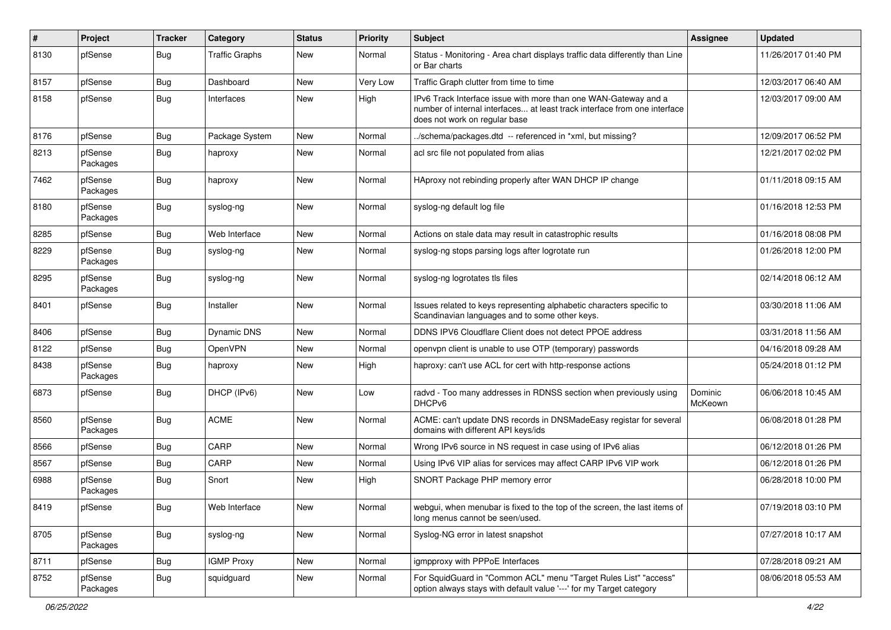| $\sharp$ | Project             | <b>Tracker</b> | Category              | <b>Status</b> | <b>Priority</b> | <b>Subject</b>                                                                                                                                                                | <b>Assignee</b>    | <b>Updated</b>      |
|----------|---------------------|----------------|-----------------------|---------------|-----------------|-------------------------------------------------------------------------------------------------------------------------------------------------------------------------------|--------------------|---------------------|
| 8130     | pfSense             | Bug            | <b>Traffic Graphs</b> | New           | Normal          | Status - Monitoring - Area chart displays traffic data differently than Line<br>or Bar charts                                                                                 |                    | 11/26/2017 01:40 PM |
| 8157     | pfSense             | Bug            | Dashboard             | New           | Very Low        | Traffic Graph clutter from time to time                                                                                                                                       |                    | 12/03/2017 06:40 AM |
| 8158     | pfSense             | Bug            | Interfaces            | New           | High            | IPv6 Track Interface issue with more than one WAN-Gateway and a<br>number of internal interfaces at least track interface from one interface<br>does not work on regular base |                    | 12/03/2017 09:00 AM |
| 8176     | pfSense             | Bug            | Package System        | New           | Normal          | ./schema/packages.dtd -- referenced in *xml, but missing?                                                                                                                     |                    | 12/09/2017 06:52 PM |
| 8213     | pfSense<br>Packages | <b>Bug</b>     | haproxy               | <b>New</b>    | Normal          | acl src file not populated from alias                                                                                                                                         |                    | 12/21/2017 02:02 PM |
| 7462     | pfSense<br>Packages | Bug            | haproxy               | New           | Normal          | HAproxy not rebinding properly after WAN DHCP IP change                                                                                                                       |                    | 01/11/2018 09:15 AM |
| 8180     | pfSense<br>Packages | Bug            | syslog-ng             | New           | Normal          | syslog-ng default log file                                                                                                                                                    |                    | 01/16/2018 12:53 PM |
| 8285     | pfSense             | Bug            | Web Interface         | New           | Normal          | Actions on stale data may result in catastrophic results                                                                                                                      |                    | 01/16/2018 08:08 PM |
| 8229     | pfSense<br>Packages | Bug            | syslog-ng             | New           | Normal          | syslog-ng stops parsing logs after logrotate run                                                                                                                              |                    | 01/26/2018 12:00 PM |
| 8295     | pfSense<br>Packages | <b>Bug</b>     | syslog-ng             | <b>New</b>    | Normal          | syslog-ng logrotates tls files                                                                                                                                                |                    | 02/14/2018 06:12 AM |
| 8401     | pfSense             | <b>Bug</b>     | Installer             | <b>New</b>    | Normal          | Issues related to keys representing alphabetic characters specific to<br>Scandinavian languages and to some other keys.                                                       |                    | 03/30/2018 11:06 AM |
| 8406     | pfSense             | Bug            | Dynamic DNS           | New           | Normal          | DDNS IPV6 Cloudflare Client does not detect PPOE address                                                                                                                      |                    | 03/31/2018 11:56 AM |
| 8122     | pfSense             | Bug            | OpenVPN               | New           | Normal          | openvpn client is unable to use OTP (temporary) passwords                                                                                                                     |                    | 04/16/2018 09:28 AM |
| 8438     | pfSense<br>Packages | Bug            | haproxy               | New           | High            | haproxy: can't use ACL for cert with http-response actions                                                                                                                    |                    | 05/24/2018 01:12 PM |
| 6873     | pfSense             | Bug            | DHCP (IPv6)           | <b>New</b>    | Low             | radvd - Too many addresses in RDNSS section when previously using<br>DHCP <sub>v6</sub>                                                                                       | Dominic<br>McKeown | 06/06/2018 10:45 AM |
| 8560     | pfSense<br>Packages | <b>Bug</b>     | <b>ACME</b>           | <b>New</b>    | Normal          | ACME: can't update DNS records in DNSMadeEasy registar for several<br>domains with different API keys/ids                                                                     |                    | 06/08/2018 01:28 PM |
| 8566     | pfSense             | Bug            | CARP                  | New           | Normal          | Wrong IPv6 source in NS request in case using of IPv6 alias                                                                                                                   |                    | 06/12/2018 01:26 PM |
| 8567     | pfSense             | Bug            | CARP                  | <b>New</b>    | Normal          | Using IPv6 VIP alias for services may affect CARP IPv6 VIP work                                                                                                               |                    | 06/12/2018 01:26 PM |
| 6988     | pfSense<br>Packages | Bug            | Snort                 | New           | High            | SNORT Package PHP memory error                                                                                                                                                |                    | 06/28/2018 10:00 PM |
| 8419     | pfSense             | Bug            | Web Interface         | New           | Normal          | webgui, when menubar is fixed to the top of the screen, the last items of<br>long menus cannot be seen/used.                                                                  |                    | 07/19/2018 03:10 PM |
| 8705     | pfSense<br>Packages | <b>Bug</b>     | syslog-ng             | New           | Normal          | Syslog-NG error in latest snapshot                                                                                                                                            |                    | 07/27/2018 10:17 AM |
| 8711     | pfSense             | <b>Bug</b>     | <b>IGMP Proxy</b>     | New           | Normal          | igmpproxy with PPPoE Interfaces                                                                                                                                               |                    | 07/28/2018 09:21 AM |
| 8752     | pfSense<br>Packages | <b>Bug</b>     | squidguard            | New           | Normal          | For SquidGuard in "Common ACL" menu "Target Rules List" "access"<br>option always stays with default value '---' for my Target category                                       |                    | 08/06/2018 05:53 AM |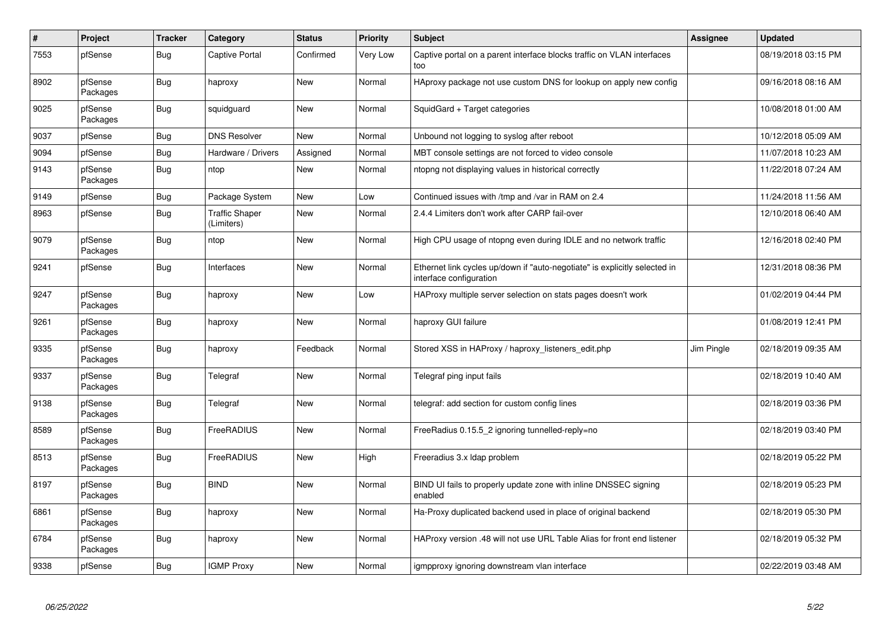| $\sharp$ | Project             | <b>Tracker</b> | Category                            | <b>Status</b> | <b>Priority</b> | <b>Subject</b>                                                                                        | Assignee   | <b>Updated</b>      |
|----------|---------------------|----------------|-------------------------------------|---------------|-----------------|-------------------------------------------------------------------------------------------------------|------------|---------------------|
| 7553     | pfSense             | <b>Bug</b>     | Captive Portal                      | Confirmed     | Very Low        | Captive portal on a parent interface blocks traffic on VLAN interfaces<br>too                         |            | 08/19/2018 03:15 PM |
| 8902     | pfSense<br>Packages | Bug            | haproxy                             | New           | Normal          | HAproxy package not use custom DNS for lookup on apply new config                                     |            | 09/16/2018 08:16 AM |
| 9025     | pfSense<br>Packages | Bug            | squidguard                          | New           | Normal          | SquidGard + Target categories                                                                         |            | 10/08/2018 01:00 AM |
| 9037     | pfSense             | Bug            | <b>DNS Resolver</b>                 | <b>New</b>    | Normal          | Unbound not logging to syslog after reboot                                                            |            | 10/12/2018 05:09 AM |
| 9094     | pfSense             | <b>Bug</b>     | Hardware / Drivers                  | Assigned      | Normal          | MBT console settings are not forced to video console                                                  |            | 11/07/2018 10:23 AM |
| 9143     | pfSense<br>Packages | <b>Bug</b>     | ntop                                | New           | Normal          | ntopng not displaying values in historical correctly                                                  |            | 11/22/2018 07:24 AM |
| 9149     | pfSense             | Bug            | Package System                      | New           | Low             | Continued issues with /tmp and /var in RAM on 2.4                                                     |            | 11/24/2018 11:56 AM |
| 8963     | pfSense             | <b>Bug</b>     | <b>Traffic Shaper</b><br>(Limiters) | New           | Normal          | 2.4.4 Limiters don't work after CARP fail-over                                                        |            | 12/10/2018 06:40 AM |
| 9079     | pfSense<br>Packages | Bug            | ntop                                | New           | Normal          | High CPU usage of ntopng even during IDLE and no network traffic                                      |            | 12/16/2018 02:40 PM |
| 9241     | pfSense             | Bug            | Interfaces                          | New           | Normal          | Ethernet link cycles up/down if "auto-negotiate" is explicitly selected in<br>interface configuration |            | 12/31/2018 08:36 PM |
| 9247     | pfSense<br>Packages | Bug            | haproxy                             | New           | Low             | HAProxy multiple server selection on stats pages doesn't work                                         |            | 01/02/2019 04:44 PM |
| 9261     | pfSense<br>Packages | <b>Bug</b>     | haproxy                             | New           | Normal          | haproxy GUI failure                                                                                   |            | 01/08/2019 12:41 PM |
| 9335     | pfSense<br>Packages | <b>Bug</b>     | haproxy                             | Feedback      | Normal          | Stored XSS in HAProxy / haproxy_listeners_edit.php                                                    | Jim Pingle | 02/18/2019 09:35 AM |
| 9337     | pfSense<br>Packages | <b>Bug</b>     | Telegraf                            | New           | Normal          | Telegraf ping input fails                                                                             |            | 02/18/2019 10:40 AM |
| 9138     | pfSense<br>Packages | <b>Bug</b>     | Telegraf                            | <b>New</b>    | Normal          | telegraf: add section for custom config lines                                                         |            | 02/18/2019 03:36 PM |
| 8589     | pfSense<br>Packages | <b>Bug</b>     | FreeRADIUS                          | <b>New</b>    | Normal          | FreeRadius 0.15.5_2 ignoring tunnelled-reply=no                                                       |            | 02/18/2019 03:40 PM |
| 8513     | pfSense<br>Packages | <b>Bug</b>     | FreeRADIUS                          | New           | High            | Freeradius 3.x Idap problem                                                                           |            | 02/18/2019 05:22 PM |
| 8197     | pfSense<br>Packages | Bug            | <b>BIND</b>                         | New           | Normal          | BIND UI fails to properly update zone with inline DNSSEC signing<br>enabled                           |            | 02/18/2019 05:23 PM |
| 6861     | pfSense<br>Packages | Bug            | haproxy                             | New           | Normal          | Ha-Proxy duplicated backend used in place of original backend                                         |            | 02/18/2019 05:30 PM |
| 6784     | pfSense<br>Packages | Bug            | haproxy                             | New           | Normal          | HAProxy version .48 will not use URL Table Alias for front end listener                               |            | 02/18/2019 05:32 PM |
| 9338     | pfSense             | Bug            | <b>IGMP Proxy</b>                   | New           | Normal          | igmpproxy ignoring downstream vlan interface                                                          |            | 02/22/2019 03:48 AM |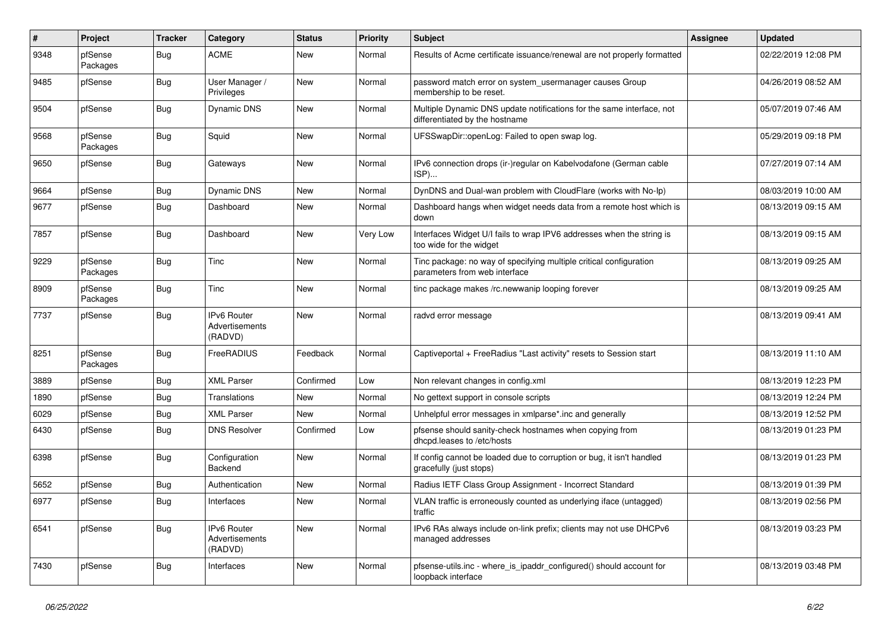| $\#$ | Project             | <b>Tracker</b>   | Category                                        | <b>Status</b> | <b>Priority</b> | Subject                                                                                                 | Assignee | <b>Updated</b>      |
|------|---------------------|------------------|-------------------------------------------------|---------------|-----------------|---------------------------------------------------------------------------------------------------------|----------|---------------------|
| 9348 | pfSense<br>Packages | Bug              | <b>ACME</b>                                     | New           | Normal          | Results of Acme certificate issuance/renewal are not properly formatted                                 |          | 02/22/2019 12:08 PM |
| 9485 | pfSense             | Bug              | User Manager /<br>Privileges                    | New           | Normal          | password match error on system_usermanager causes Group<br>membership to be reset.                      |          | 04/26/2019 08:52 AM |
| 9504 | pfSense             | Bug              | <b>Dynamic DNS</b>                              | New           | Normal          | Multiple Dynamic DNS update notifications for the same interface, not<br>differentiated by the hostname |          | 05/07/2019 07:46 AM |
| 9568 | pfSense<br>Packages | Bug              | Squid                                           | New           | Normal          | UFSSwapDir::openLog: Failed to open swap log.                                                           |          | 05/29/2019 09:18 PM |
| 9650 | pfSense             | Bug              | Gateways                                        | New           | Normal          | IPv6 connection drops (ir-)regular on Kabelvodafone (German cable<br>ISP)                               |          | 07/27/2019 07:14 AM |
| 9664 | pfSense             | Bug              | <b>Dynamic DNS</b>                              | New           | Normal          | DynDNS and Dual-wan problem with CloudFlare (works with No-Ip)                                          |          | 08/03/2019 10:00 AM |
| 9677 | pfSense             | Bug              | Dashboard                                       | New           | Normal          | Dashboard hangs when widget needs data from a remote host which is<br>down                              |          | 08/13/2019 09:15 AM |
| 7857 | pfSense             | Bug              | Dashboard                                       | New           | Very Low        | Interfaces Widget U/I fails to wrap IPV6 addresses when the string is<br>too wide for the widget        |          | 08/13/2019 09:15 AM |
| 9229 | pfSense<br>Packages | <b>Bug</b>       | Tinc                                            | New           | Normal          | Tinc package: no way of specifying multiple critical configuration<br>parameters from web interface     |          | 08/13/2019 09:25 AM |
| 8909 | pfSense<br>Packages | Bug              | Tinc                                            | New           | Normal          | tinc package makes /rc.newwanip looping forever                                                         |          | 08/13/2019 09:25 AM |
| 7737 | pfSense             | Bug              | IPv6 Router<br><b>Advertisements</b><br>(RADVD) | New           | Normal          | radvd error message                                                                                     |          | 08/13/2019 09:41 AM |
| 8251 | pfSense<br>Packages | Bug              | FreeRADIUS                                      | Feedback      | Normal          | Captiveportal + FreeRadius "Last activity" resets to Session start                                      |          | 08/13/2019 11:10 AM |
| 3889 | pfSense             | Bug              | <b>XML Parser</b>                               | Confirmed     | Low             | Non relevant changes in config.xml                                                                      |          | 08/13/2019 12:23 PM |
| 1890 | pfSense             | Bug              | Translations                                    | New           | Normal          | No gettext support in console scripts                                                                   |          | 08/13/2019 12:24 PM |
| 6029 | pfSense             | Bug              | <b>XML Parser</b>                               | New           | Normal          | Unhelpful error messages in xmlparse*.inc and generally                                                 |          | 08/13/2019 12:52 PM |
| 6430 | pfSense             | Bug              | <b>DNS Resolver</b>                             | Confirmed     | Low             | pfsense should sanity-check hostnames when copying from<br>dhcpd.leases to /etc/hosts                   |          | 08/13/2019 01:23 PM |
| 6398 | pfSense             | Bug              | Configuration<br>Backend                        | New           | Normal          | If config cannot be loaded due to corruption or bug, it isn't handled<br>gracefully (just stops)        |          | 08/13/2019 01:23 PM |
| 5652 | pfSense             | Bug              | Authentication                                  | New           | Normal          | Radius IETF Class Group Assignment - Incorrect Standard                                                 |          | 08/13/2019 01:39 PM |
| 6977 | pfSense             | <sub>i</sub> Bug | Interfaces                                      | New           | Normal          | VLAN traffic is erroneously counted as underlying iface (untagged)<br>traffic                           |          | 08/13/2019 02:56 PM |
| 6541 | pfSense             | Bug              | IPv6 Router<br>Advertisements<br>(RADVD)        | New           | Normal          | IPv6 RAs always include on-link prefix; clients may not use DHCPv6<br>managed addresses                 |          | 08/13/2019 03:23 PM |
| 7430 | pfSense             | Bug              | Interfaces                                      | New           | Normal          | pfsense-utils.inc - where_is_ipaddr_configured() should account for<br>loopback interface               |          | 08/13/2019 03:48 PM |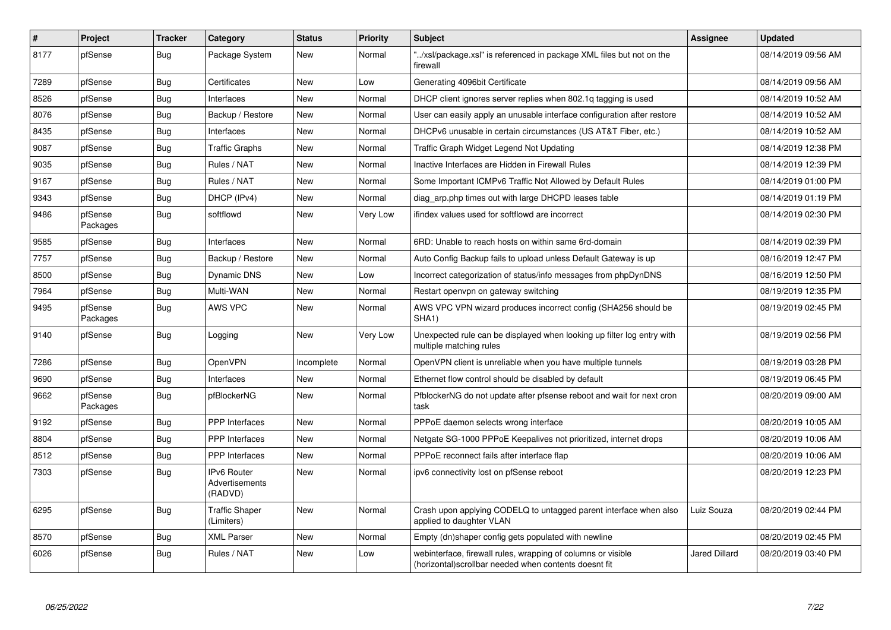| $\vert$ # | Project             | <b>Tracker</b> | Category                                 | <b>Status</b> | Priority | <b>Subject</b>                                                                                                         | Assignee             | <b>Updated</b>      |
|-----------|---------------------|----------------|------------------------------------------|---------------|----------|------------------------------------------------------------------------------------------------------------------------|----------------------|---------------------|
| 8177      | pfSense             | <b>Bug</b>     | Package System                           | New           | Normal   | '/xsl/package.xsl" is referenced in package XML files but not on the<br>firewall                                       |                      | 08/14/2019 09:56 AM |
| 7289      | pfSense             | Bug            | Certificates                             | <b>New</b>    | Low      | Generating 4096bit Certificate                                                                                         |                      | 08/14/2019 09:56 AM |
| 8526      | pfSense             | Bug            | Interfaces                               | <b>New</b>    | Normal   | DHCP client ignores server replies when 802.1q tagging is used                                                         |                      | 08/14/2019 10:52 AM |
| 8076      | pfSense             | <b>Bug</b>     | Backup / Restore                         | <b>New</b>    | Normal   | User can easily apply an unusable interface configuration after restore                                                |                      | 08/14/2019 10:52 AM |
| 8435      | pfSense             | Bug            | Interfaces                               | New           | Normal   | DHCPv6 unusable in certain circumstances (US AT&T Fiber, etc.)                                                         |                      | 08/14/2019 10:52 AM |
| 9087      | pfSense             | Bug            | <b>Traffic Graphs</b>                    | <b>New</b>    | Normal   | Traffic Graph Widget Legend Not Updating                                                                               |                      | 08/14/2019 12:38 PM |
| 9035      | pfSense             | <b>Bug</b>     | Rules / NAT                              | <b>New</b>    | Normal   | Inactive Interfaces are Hidden in Firewall Rules                                                                       |                      | 08/14/2019 12:39 PM |
| 9167      | pfSense             | <b>Bug</b>     | Rules / NAT                              | <b>New</b>    | Normal   | Some Important ICMPv6 Traffic Not Allowed by Default Rules                                                             |                      | 08/14/2019 01:00 PM |
| 9343      | pfSense             | Bug            | DHCP (IPv4)                              | New           | Normal   | diag arp.php times out with large DHCPD leases table                                                                   |                      | 08/14/2019 01:19 PM |
| 9486      | pfSense<br>Packages | Bug            | softflowd                                | New           | Very Low | ifindex values used for softflowd are incorrect                                                                        |                      | 08/14/2019 02:30 PM |
| 9585      | pfSense             | Bug            | Interfaces                               | <b>New</b>    | Normal   | 6RD: Unable to reach hosts on within same 6rd-domain                                                                   |                      | 08/14/2019 02:39 PM |
| 7757      | pfSense             | Bug            | Backup / Restore                         | New           | Normal   | Auto Config Backup fails to upload unless Default Gateway is up                                                        |                      | 08/16/2019 12:47 PM |
| 8500      | pfSense             | <b>Bug</b>     | Dynamic DNS                              | <b>New</b>    | Low      | Incorrect categorization of status/info messages from phpDynDNS                                                        |                      | 08/16/2019 12:50 PM |
| 7964      | pfSense             | <b>Bug</b>     | Multi-WAN                                | New           | Normal   | Restart openvpn on gateway switching                                                                                   |                      | 08/19/2019 12:35 PM |
| 9495      | pfSense<br>Packages | Bug            | AWS VPC                                  | <b>New</b>    | Normal   | AWS VPC VPN wizard produces incorrect config (SHA256 should be<br>SHA1)                                                |                      | 08/19/2019 02:45 PM |
| 9140      | pfSense             | <b>Bug</b>     | Logging                                  | New           | Very Low | Unexpected rule can be displayed when looking up filter log entry with<br>multiple matching rules                      |                      | 08/19/2019 02:56 PM |
| 7286      | pfSense             | <b>Bug</b>     | OpenVPN                                  | Incomplete    | Normal   | OpenVPN client is unreliable when you have multiple tunnels                                                            |                      | 08/19/2019 03:28 PM |
| 9690      | pfSense             | Bug            | Interfaces                               | New           | Normal   | Ethernet flow control should be disabled by default                                                                    |                      | 08/19/2019 06:45 PM |
| 9662      | pfSense<br>Packages | Bug            | pfBlockerNG                              | <b>New</b>    | Normal   | PfblockerNG do not update after pfsense reboot and wait for next cron<br>task                                          |                      | 08/20/2019 09:00 AM |
| 9192      | pfSense             | <b>Bug</b>     | <b>PPP</b> Interfaces                    | <b>New</b>    | Normal   | PPPoE daemon selects wrong interface                                                                                   |                      | 08/20/2019 10:05 AM |
| 8804      | pfSense             | Bug            | <b>PPP</b> Interfaces                    | New           | Normal   | Netgate SG-1000 PPPoE Keepalives not prioritized, internet drops                                                       |                      | 08/20/2019 10:06 AM |
| 8512      | pfSense             | Bug            | <b>PPP</b> Interfaces                    | <b>New</b>    | Normal   | PPPoE reconnect fails after interface flap                                                                             |                      | 08/20/2019 10:06 AM |
| 7303      | pfSense             | Bug            | IPv6 Router<br>Advertisements<br>(RADVD) | New           | Normal   | ipv6 connectivity lost on pfSense reboot                                                                               |                      | 08/20/2019 12:23 PM |
| 6295      | pfSense             | Bug            | <b>Traffic Shaper</b><br>(Limiters)      | <b>New</b>    | Normal   | Crash upon applying CODELQ to untagged parent interface when also<br>applied to daughter VLAN                          | Luiz Souza           | 08/20/2019 02:44 PM |
| 8570      | pfSense             | Bug            | <b>XML Parser</b>                        | <b>New</b>    | Normal   | Empty (dn)shaper config gets populated with newline                                                                    |                      | 08/20/2019 02:45 PM |
| 6026      | pfSense             | <b>Bug</b>     | Rules / NAT                              | <b>New</b>    | Low      | webinterface, firewall rules, wrapping of columns or visible<br>(horizontal) scrollbar needed when contents doesnt fit | <b>Jared Dillard</b> | 08/20/2019 03:40 PM |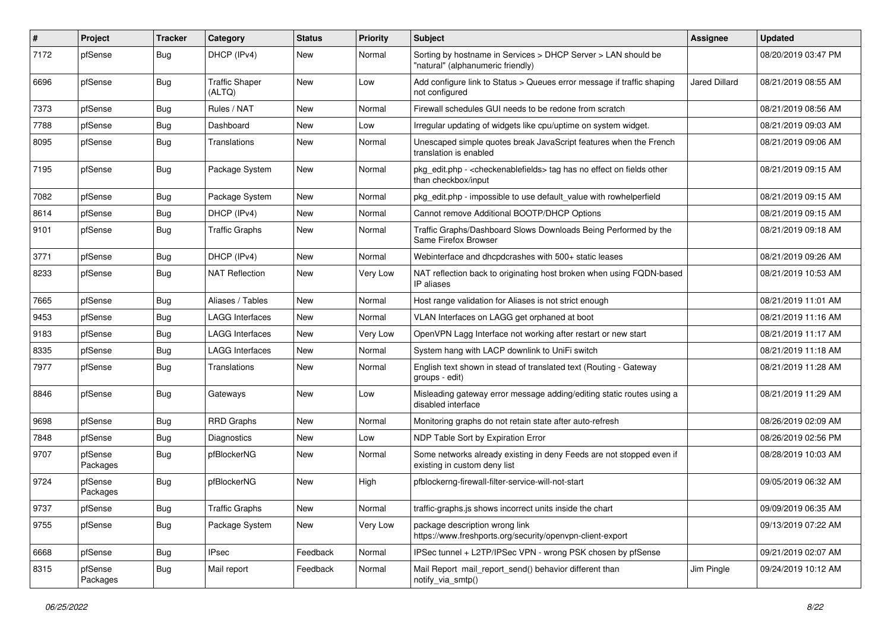| $\vert$ # | Project             | <b>Tracker</b> | Category                        | <b>Status</b> | <b>Priority</b> | <b>Subject</b>                                                                                                   | <b>Assignee</b>      | <b>Updated</b>      |
|-----------|---------------------|----------------|---------------------------------|---------------|-----------------|------------------------------------------------------------------------------------------------------------------|----------------------|---------------------|
| 7172      | pfSense             | Bug            | DHCP (IPv4)                     | New           | Normal          | Sorting by hostname in Services > DHCP Server > LAN should be<br>"natural" (alphanumeric friendly)               |                      | 08/20/2019 03:47 PM |
| 6696      | pfSense             | Bug            | <b>Traffic Shaper</b><br>(ALTQ) | New           | Low             | Add configure link to Status > Queues error message if traffic shaping<br>not configured                         | <b>Jared Dillard</b> | 08/21/2019 08:55 AM |
| 7373      | pfSense             | Bug            | Rules / NAT                     | New           | Normal          | Firewall schedules GUI needs to be redone from scratch                                                           |                      | 08/21/2019 08:56 AM |
| 7788      | pfSense             | Bug            | Dashboard                       | New           | Low             | Irregular updating of widgets like cpu/uptime on system widget.                                                  |                      | 08/21/2019 09:03 AM |
| 8095      | pfSense             | Bug            | Translations                    | New           | Normal          | Unescaped simple quotes break JavaScript features when the French<br>translation is enabled                      |                      | 08/21/2019 09:06 AM |
| 7195      | pfSense             | Bug            | Package System                  | New           | Normal          | pkg_edit.php - <checkenablefields> tag has no effect on fields other<br/>than checkbox/input</checkenablefields> |                      | 08/21/2019 09:15 AM |
| 7082      | pfSense             | Bug            | Package System                  | New           | Normal          | pkg_edit.php - impossible to use default_value with rowhelperfield                                               |                      | 08/21/2019 09:15 AM |
| 8614      | pfSense             | Bug            | DHCP (IPv4)                     | New           | Normal          | Cannot remove Additional BOOTP/DHCP Options                                                                      |                      | 08/21/2019 09:15 AM |
| 9101      | pfSense             | <b>Bug</b>     | Traffic Graphs                  | New           | Normal          | Traffic Graphs/Dashboard Slows Downloads Being Performed by the<br>Same Firefox Browser                          |                      | 08/21/2019 09:18 AM |
| 3771      | pfSense             | Bug            | DHCP (IPv4)                     | New           | Normal          | Webinterface and dhcpdcrashes with 500+ static leases                                                            |                      | 08/21/2019 09:26 AM |
| 8233      | pfSense             | Bug            | <b>NAT Reflection</b>           | New           | Very Low        | NAT reflection back to originating host broken when using FQDN-based<br>IP aliases                               |                      | 08/21/2019 10:53 AM |
| 7665      | pfSense             | Bug            | Aliases / Tables                | New           | Normal          | Host range validation for Aliases is not strict enough                                                           |                      | 08/21/2019 11:01 AM |
| 9453      | pfSense             | Bug            | <b>LAGG Interfaces</b>          | New           | Normal          | VLAN Interfaces on LAGG get orphaned at boot                                                                     |                      | 08/21/2019 11:16 AM |
| 9183      | pfSense             | Bug            | <b>LAGG Interfaces</b>          | New           | Very Low        | OpenVPN Lagg Interface not working after restart or new start                                                    |                      | 08/21/2019 11:17 AM |
| 8335      | pfSense             | Bug            | <b>LAGG Interfaces</b>          | New           | Normal          | System hang with LACP downlink to UniFi switch                                                                   |                      | 08/21/2019 11:18 AM |
| 7977      | pfSense             | Bug            | <b>Translations</b>             | New           | Normal          | English text shown in stead of translated text (Routing - Gateway<br>groups - edit)                              |                      | 08/21/2019 11:28 AM |
| 8846      | pfSense             | Bug            | Gateways                        | <b>New</b>    | Low             | Misleading gateway error message adding/editing static routes using a<br>disabled interface                      |                      | 08/21/2019 11:29 AM |
| 9698      | pfSense             | Bug            | <b>RRD Graphs</b>               | New           | Normal          | Monitoring graphs do not retain state after auto-refresh                                                         |                      | 08/26/2019 02:09 AM |
| 7848      | pfSense             | Bug            | <b>Diagnostics</b>              | New           | Low             | NDP Table Sort by Expiration Error                                                                               |                      | 08/26/2019 02:56 PM |
| 9707      | pfSense<br>Packages | Bug            | pfBlockerNG                     | New           | Normal          | Some networks already existing in deny Feeds are not stopped even if<br>existing in custom deny list             |                      | 08/28/2019 10:03 AM |
| 9724      | pfSense<br>Packages | <b>Bug</b>     | pfBlockerNG                     | New           | High            | pfblockerng-firewall-filter-service-will-not-start                                                               |                      | 09/05/2019 06:32 AM |
| 9737      | pfSense             | <b>Bug</b>     | <b>Traffic Graphs</b>           | New           | Normal          | traffic-graphs is shows incorrect units inside the chart                                                         |                      | 09/09/2019 06:35 AM |
| 9755      | pfSense             | <b>Bug</b>     | Package System                  | New           | Very Low        | package description wrong link<br>https://www.freshports.org/security/openvpn-client-export                      |                      | 09/13/2019 07:22 AM |
| 6668      | pfSense             | Bug            | <b>IPsec</b>                    | Feedback      | Normal          | IPSec tunnel + L2TP/IPSec VPN - wrong PSK chosen by pfSense                                                      |                      | 09/21/2019 02:07 AM |
| 8315      | pfSense<br>Packages | <b>Bug</b>     | Mail report                     | Feedback      | Normal          | Mail Report mail report send() behavior different than<br>notify_via_smtp()                                      | Jim Pingle           | 09/24/2019 10:12 AM |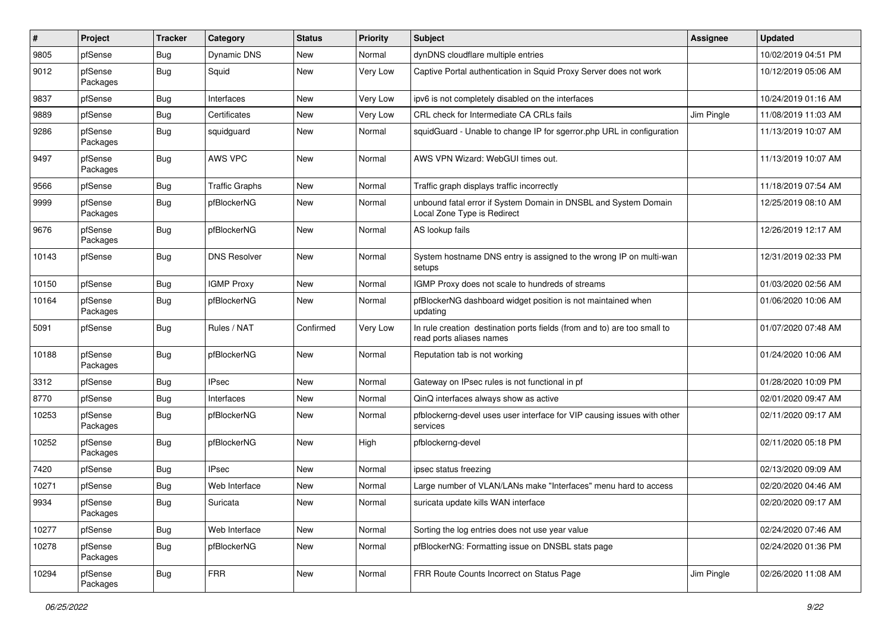| #     | Project             | <b>Tracker</b> | Category              | <b>Status</b> | <b>Priority</b> | Subject                                                                                              | Assignee   | <b>Updated</b>      |
|-------|---------------------|----------------|-----------------------|---------------|-----------------|------------------------------------------------------------------------------------------------------|------------|---------------------|
| 9805  | pfSense             | Bug            | <b>Dynamic DNS</b>    | New           | Normal          | dynDNS cloudflare multiple entries                                                                   |            | 10/02/2019 04:51 PM |
| 9012  | pfSense<br>Packages | <b>Bug</b>     | Squid                 | New           | Very Low        | Captive Portal authentication in Squid Proxy Server does not work                                    |            | 10/12/2019 05:06 AM |
| 9837  | pfSense             | Bug            | Interfaces            | New           | Very Low        | ipv6 is not completely disabled on the interfaces                                                    |            | 10/24/2019 01:16 AM |
| 9889  | pfSense             | Bug            | Certificates          | New           | Very Low        | CRL check for Intermediate CA CRLs fails                                                             | Jim Pingle | 11/08/2019 11:03 AM |
| 9286  | pfSense<br>Packages | Bug            | squidguard            | New           | Normal          | squidGuard - Unable to change IP for sgerror.php URL in configuration                                |            | 11/13/2019 10:07 AM |
| 9497  | pfSense<br>Packages | Bug            | AWS VPC               | <b>New</b>    | Normal          | AWS VPN Wizard: WebGUI times out.                                                                    |            | 11/13/2019 10:07 AM |
| 9566  | pfSense             | Bug            | <b>Traffic Graphs</b> | New           | Normal          | Traffic graph displays traffic incorrectly                                                           |            | 11/18/2019 07:54 AM |
| 9999  | pfSense<br>Packages | Bug            | pfBlockerNG           | New           | Normal          | unbound fatal error if System Domain in DNSBL and System Domain<br>Local Zone Type is Redirect       |            | 12/25/2019 08:10 AM |
| 9676  | pfSense<br>Packages | Bug            | pfBlockerNG           | New           | Normal          | AS lookup fails                                                                                      |            | 12/26/2019 12:17 AM |
| 10143 | pfSense             | Bug            | <b>DNS Resolver</b>   | New           | Normal          | System hostname DNS entry is assigned to the wrong IP on multi-wan<br>setups                         |            | 12/31/2019 02:33 PM |
| 10150 | pfSense             | Bug            | <b>IGMP Proxy</b>     | New           | Normal          | IGMP Proxy does not scale to hundreds of streams                                                     |            | 01/03/2020 02:56 AM |
| 10164 | pfSense<br>Packages | Bug            | pfBlockerNG           | New           | Normal          | pfBlockerNG dashboard widget position is not maintained when<br>updating                             |            | 01/06/2020 10:06 AM |
| 5091  | pfSense             | Bug            | Rules / NAT           | Confirmed     | Very Low        | In rule creation destination ports fields (from and to) are too small to<br>read ports aliases names |            | 01/07/2020 07:48 AM |
| 10188 | pfSense<br>Packages | Bug            | pfBlockerNG           | New           | Normal          | Reputation tab is not working                                                                        |            | 01/24/2020 10:06 AM |
| 3312  | pfSense             | Bug            | <b>IPsec</b>          | New           | Normal          | Gateway on IPsec rules is not functional in pf                                                       |            | 01/28/2020 10:09 PM |
| 8770  | pfSense             | Bug            | Interfaces            | New           | Normal          | QinQ interfaces always show as active                                                                |            | 02/01/2020 09:47 AM |
| 10253 | pfSense<br>Packages | Bug            | pfBlockerNG           | New           | Normal          | pfblockerng-devel uses user interface for VIP causing issues with other<br>services                  |            | 02/11/2020 09:17 AM |
| 10252 | pfSense<br>Packages | Bug            | pfBlockerNG           | New           | High            | pfblockerng-devel                                                                                    |            | 02/11/2020 05:18 PM |
| 7420  | pfSense             | Bug            | <b>IPsec</b>          | New           | Normal          | ipsec status freezing                                                                                |            | 02/13/2020 09:09 AM |
| 10271 | pfSense             | Bug            | Web Interface         | New           | Normal          | Large number of VLAN/LANs make "Interfaces" menu hard to access                                      |            | 02/20/2020 04:46 AM |
| 9934  | pfSense<br>Packages | Bug            | Suricata              | New           | Normal          | suricata update kills WAN interface                                                                  |            | 02/20/2020 09:17 AM |
| 10277 | pfSense             | <b>Bug</b>     | Web Interface         | New           | Normal          | Sorting the log entries does not use year value                                                      |            | 02/24/2020 07:46 AM |
| 10278 | pfSense<br>Packages | <b>Bug</b>     | pfBlockerNG           | New           | Normal          | pfBlockerNG: Formatting issue on DNSBL stats page                                                    |            | 02/24/2020 01:36 PM |
| 10294 | pfSense<br>Packages | Bug            | <b>FRR</b>            | New           | Normal          | FRR Route Counts Incorrect on Status Page                                                            | Jim Pingle | 02/26/2020 11:08 AM |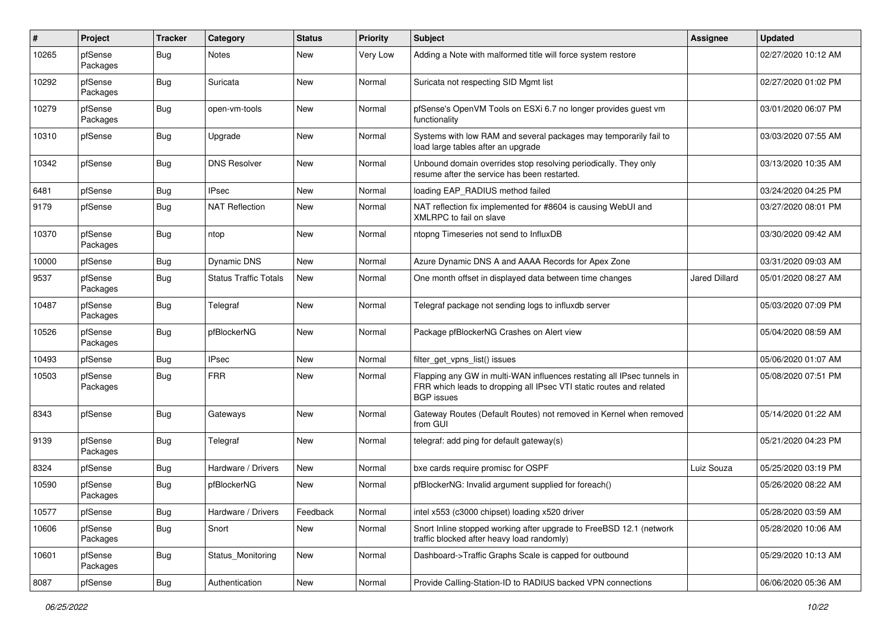| #     | Project             | <b>Tracker</b> | Category                     | <b>Status</b> | <b>Priority</b> | <b>Subject</b>                                                                                                                                                     | <b>Assignee</b> | <b>Updated</b>      |
|-------|---------------------|----------------|------------------------------|---------------|-----------------|--------------------------------------------------------------------------------------------------------------------------------------------------------------------|-----------------|---------------------|
| 10265 | pfSense<br>Packages | Bug            | Notes                        | New           | Very Low        | Adding a Note with malformed title will force system restore                                                                                                       |                 | 02/27/2020 10:12 AM |
| 10292 | pfSense<br>Packages | Bug            | Suricata                     | New           | Normal          | Suricata not respecting SID Mgmt list                                                                                                                              |                 | 02/27/2020 01:02 PM |
| 10279 | pfSense<br>Packages | Bug            | open-vm-tools                | <b>New</b>    | Normal          | pfSense's OpenVM Tools on ESXi 6.7 no longer provides guest vm<br>functionality                                                                                    |                 | 03/01/2020 06:07 PM |
| 10310 | pfSense             | Bug            | Upgrade                      | New           | Normal          | Systems with low RAM and several packages may temporarily fail to<br>load large tables after an upgrade                                                            |                 | 03/03/2020 07:55 AM |
| 10342 | pfSense             | Bug            | <b>DNS Resolver</b>          | New           | Normal          | Unbound domain overrides stop resolving periodically. They only<br>resume after the service has been restarted.                                                    |                 | 03/13/2020 10:35 AM |
| 6481  | pfSense             | Bug            | <b>IPsec</b>                 | New           | Normal          | loading EAP RADIUS method failed                                                                                                                                   |                 | 03/24/2020 04:25 PM |
| 9179  | pfSense             | <b>Bug</b>     | <b>NAT Reflection</b>        | New           | Normal          | NAT reflection fix implemented for #8604 is causing WebUI and<br>XMLRPC to fail on slave                                                                           |                 | 03/27/2020 08:01 PM |
| 10370 | pfSense<br>Packages | Bug            | ntop                         | New           | Normal          | ntopng Timeseries not send to InfluxDB                                                                                                                             |                 | 03/30/2020 09:42 AM |
| 10000 | pfSense             | Bug            | <b>Dynamic DNS</b>           | <b>New</b>    | Normal          | Azure Dynamic DNS A and AAAA Records for Apex Zone                                                                                                                 |                 | 03/31/2020 09:03 AM |
| 9537  | pfSense<br>Packages | <b>Bug</b>     | <b>Status Traffic Totals</b> | New           | Normal          | One month offset in displayed data between time changes                                                                                                            | Jared Dillard   | 05/01/2020 08:27 AM |
| 10487 | pfSense<br>Packages | Bug            | Telegraf                     | New           | Normal          | Telegraf package not sending logs to influxdb server                                                                                                               |                 | 05/03/2020 07:09 PM |
| 10526 | pfSense<br>Packages | <b>Bug</b>     | pfBlockerNG                  | <b>New</b>    | Normal          | Package pfBlockerNG Crashes on Alert view                                                                                                                          |                 | 05/04/2020 08:59 AM |
| 10493 | pfSense             | Bug            | <b>IPsec</b>                 | <b>New</b>    | Normal          | filter_get_vpns_list() issues                                                                                                                                      |                 | 05/06/2020 01:07 AM |
| 10503 | pfSense<br>Packages | <b>Bug</b>     | <b>FRR</b>                   | New           | Normal          | Flapping any GW in multi-WAN influences restating all IPsec tunnels in<br>FRR which leads to dropping all IPsec VTI static routes and related<br><b>BGP</b> issues |                 | 05/08/2020 07:51 PM |
| 8343  | pfSense             | Bug            | Gateways                     | <b>New</b>    | Normal          | Gateway Routes (Default Routes) not removed in Kernel when removed<br>from GUI                                                                                     |                 | 05/14/2020 01:22 AM |
| 9139  | pfSense<br>Packages | Bug            | Telegraf                     | New           | Normal          | telegraf: add ping for default gateway(s)                                                                                                                          |                 | 05/21/2020 04:23 PM |
| 8324  | pfSense             | Bug            | Hardware / Drivers           | New           | Normal          | bxe cards require promisc for OSPF                                                                                                                                 | Luiz Souza      | 05/25/2020 03:19 PM |
| 10590 | pfSense<br>Packages | Bug            | pfBlockerNG                  | New           | Normal          | pfBlockerNG: Invalid argument supplied for foreach()                                                                                                               |                 | 05/26/2020 08:22 AM |
| 10577 | pfSense             | <b>Bug</b>     | Hardware / Drivers           | Feedback      | Normal          | intel x553 (c3000 chipset) loading x520 driver                                                                                                                     |                 | 05/28/2020 03:59 AM |
| 10606 | pfSense<br>Packages | <b>Bug</b>     | Snort                        | New           | Normal          | Snort Inline stopped working after upgrade to FreeBSD 12.1 (network<br>traffic blocked after heavy load randomly)                                                  |                 | 05/28/2020 10:06 AM |
| 10601 | pfSense<br>Packages | Bug            | Status Monitoring            | New           | Normal          | Dashboard->Traffic Graphs Scale is capped for outbound                                                                                                             |                 | 05/29/2020 10:13 AM |
| 8087  | pfSense             | Bug            | Authentication               | New           | Normal          | Provide Calling-Station-ID to RADIUS backed VPN connections                                                                                                        |                 | 06/06/2020 05:36 AM |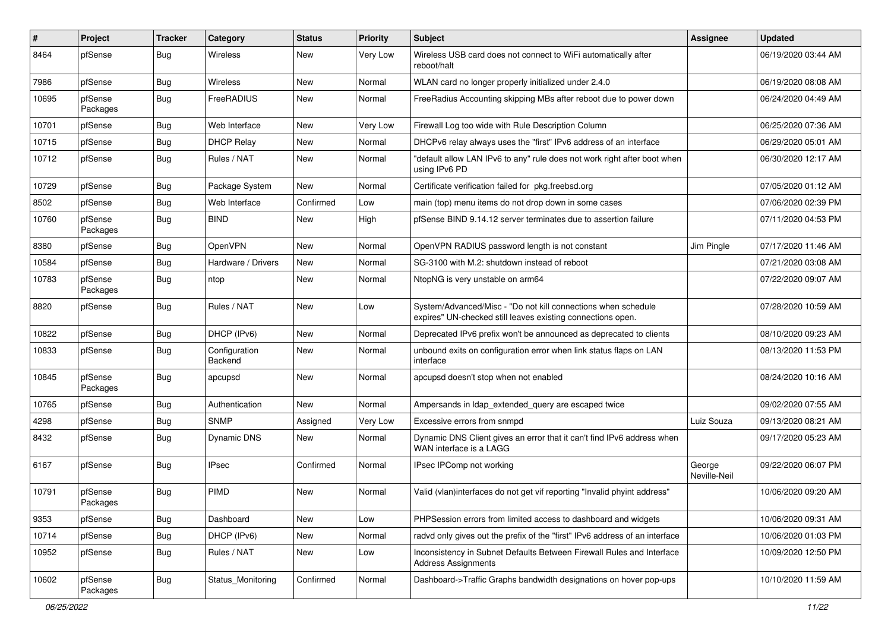| #     | Project             | <b>Tracker</b> | Category                 | <b>Status</b> | <b>Priority</b> | Subject                                                                                                                      | Assignee               | <b>Updated</b>      |
|-------|---------------------|----------------|--------------------------|---------------|-----------------|------------------------------------------------------------------------------------------------------------------------------|------------------------|---------------------|
| 8464  | pfSense             | Bug            | Wireless                 | New           | Very Low        | Wireless USB card does not connect to WiFi automatically after<br>reboot/halt                                                |                        | 06/19/2020 03:44 AM |
| 7986  | pfSense             | Bug            | Wireless                 | New           | Normal          | WLAN card no longer properly initialized under 2.4.0                                                                         |                        | 06/19/2020 08:08 AM |
| 10695 | pfSense<br>Packages | Bug            | FreeRADIUS               | New           | Normal          | FreeRadius Accounting skipping MBs after reboot due to power down                                                            |                        | 06/24/2020 04:49 AM |
| 10701 | pfSense             | Bug            | Web Interface            | New           | Very Low        | Firewall Log too wide with Rule Description Column                                                                           |                        | 06/25/2020 07:36 AM |
| 10715 | pfSense             | Bug            | <b>DHCP Relay</b>        | New           | Normal          | DHCPv6 relay always uses the "first" IPv6 address of an interface                                                            |                        | 06/29/2020 05:01 AM |
| 10712 | pfSense             | Bug            | Rules / NAT              | New           | Normal          | "default allow LAN IPv6 to any" rule does not work right after boot when<br>using IPv6 PD                                    |                        | 06/30/2020 12:17 AM |
| 10729 | pfSense             | Bug            | Package System           | New           | Normal          | Certificate verification failed for pkg.freebsd.org                                                                          |                        | 07/05/2020 01:12 AM |
| 8502  | pfSense             | Bug            | Web Interface            | Confirmed     | Low             | main (top) menu items do not drop down in some cases                                                                         |                        | 07/06/2020 02:39 PM |
| 10760 | pfSense<br>Packages | Bug            | <b>BIND</b>              | New           | High            | pfSense BIND 9.14.12 server terminates due to assertion failure                                                              |                        | 07/11/2020 04:53 PM |
| 8380  | pfSense             | Bug            | <b>OpenVPN</b>           | New           | Normal          | OpenVPN RADIUS password length is not constant                                                                               | Jim Pingle             | 07/17/2020 11:46 AM |
| 10584 | pfSense             | Bug            | Hardware / Drivers       | New           | Normal          | SG-3100 with M.2: shutdown instead of reboot                                                                                 |                        | 07/21/2020 03:08 AM |
| 10783 | pfSense<br>Packages | <b>Bug</b>     | ntop                     | New           | Normal          | NtopNG is very unstable on arm64                                                                                             |                        | 07/22/2020 09:07 AM |
| 8820  | pfSense             | Bug            | Rules / NAT              | New           | Low             | System/Advanced/Misc - "Do not kill connections when schedule<br>expires" UN-checked still leaves existing connections open. |                        | 07/28/2020 10:59 AM |
| 10822 | pfSense             | Bug            | DHCP (IPv6)              | New           | Normal          | Deprecated IPv6 prefix won't be announced as deprecated to clients                                                           |                        | 08/10/2020 09:23 AM |
| 10833 | pfSense             | Bug            | Configuration<br>Backend | New           | Normal          | unbound exits on configuration error when link status flaps on LAN<br>interface                                              |                        | 08/13/2020 11:53 PM |
| 10845 | pfSense<br>Packages | Bug            | apcupsd                  | New           | Normal          | apcupsd doesn't stop when not enabled                                                                                        |                        | 08/24/2020 10:16 AM |
| 10765 | pfSense             | Bug            | Authentication           | New           | Normal          | Ampersands in Idap extended query are escaped twice                                                                          |                        | 09/02/2020 07:55 AM |
| 4298  | pfSense             | Bug            | <b>SNMP</b>              | Assigned      | Very Low        | Excessive errors from snmpd                                                                                                  | Luiz Souza             | 09/13/2020 08:21 AM |
| 8432  | pfSense             | Bug            | <b>Dynamic DNS</b>       | New           | Normal          | Dynamic DNS Client gives an error that it can't find IPv6 address when<br>WAN interface is a LAGG                            |                        | 09/17/2020 05:23 AM |
| 6167  | pfSense             | Bug            | <b>IPsec</b>             | Confirmed     | Normal          | IPsec IPComp not working                                                                                                     | George<br>Neville-Neil | 09/22/2020 06:07 PM |
| 10791 | pfSense<br>Packages | Bug            | PIMD                     | New           | Normal          | Valid (vlan)interfaces do not get vif reporting "Invalid phyint address"                                                     |                        | 10/06/2020 09:20 AM |
| 9353  | pfSense             | Bug            | Dashboard                | New           | Low             | PHPSession errors from limited access to dashboard and widgets                                                               |                        | 10/06/2020 09:31 AM |
| 10714 | pfSense             | <b>Bug</b>     | DHCP (IPv6)              | New           | Normal          | radvd only gives out the prefix of the "first" IPv6 address of an interface                                                  |                        | 10/06/2020 01:03 PM |
| 10952 | pfSense             | <b>Bug</b>     | Rules / NAT              | New           | Low             | Inconsistency in Subnet Defaults Between Firewall Rules and Interface<br><b>Address Assignments</b>                          |                        | 10/09/2020 12:50 PM |
| 10602 | pfSense<br>Packages | <b>Bug</b>     | Status_Monitoring        | Confirmed     | Normal          | Dashboard->Traffic Graphs bandwidth designations on hover pop-ups                                                            |                        | 10/10/2020 11:59 AM |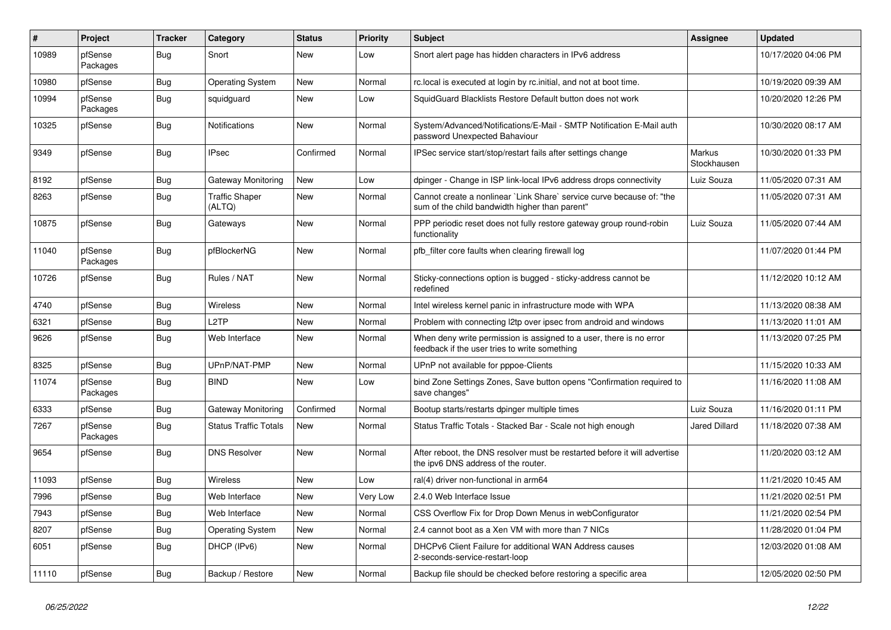| $\vert$ # | Project             | <b>Tracker</b> | Category                        | <b>Status</b> | <b>Priority</b> | <b>Subject</b>                                                                                                          | <b>Assignee</b>       | <b>Updated</b>      |
|-----------|---------------------|----------------|---------------------------------|---------------|-----------------|-------------------------------------------------------------------------------------------------------------------------|-----------------------|---------------------|
| 10989     | pfSense<br>Packages | Bug            | Snort                           | New           | Low             | Snort alert page has hidden characters in IPv6 address                                                                  |                       | 10/17/2020 04:06 PM |
| 10980     | pfSense             | Bug            | <b>Operating System</b>         | New           | Normal          | rc.local is executed at login by rc.initial, and not at boot time.                                                      |                       | 10/19/2020 09:39 AM |
| 10994     | pfSense<br>Packages | Bug            | squidguard                      | <b>New</b>    | Low             | SquidGuard Blacklists Restore Default button does not work                                                              |                       | 10/20/2020 12:26 PM |
| 10325     | pfSense             | Bug            | Notifications                   | <b>New</b>    | Normal          | System/Advanced/Notifications/E-Mail - SMTP Notification E-Mail auth<br>password Unexpected Bahaviour                   |                       | 10/30/2020 08:17 AM |
| 9349      | pfSense             | <b>Bug</b>     | <b>IPsec</b>                    | Confirmed     | Normal          | IPSec service start/stop/restart fails after settings change                                                            | Markus<br>Stockhausen | 10/30/2020 01:33 PM |
| 8192      | pfSense             | Bug            | Gateway Monitoring              | New           | Low             | dpinger - Change in ISP link-local IPv6 address drops connectivity                                                      | Luiz Souza            | 11/05/2020 07:31 AM |
| 8263      | pfSense             | Bug            | <b>Traffic Shaper</b><br>(ALTQ) | <b>New</b>    | Normal          | Cannot create a nonlinear `Link Share` service curve because of: "the<br>sum of the child bandwidth higher than parent" |                       | 11/05/2020 07:31 AM |
| 10875     | pfSense             | Bug            | Gateways                        | <b>New</b>    | Normal          | PPP periodic reset does not fully restore gateway group round-robin<br>functionality                                    | Luiz Souza            | 11/05/2020 07:44 AM |
| 11040     | pfSense<br>Packages | <b>Bug</b>     | pfBlockerNG                     | <b>New</b>    | Normal          | pfb_filter core faults when clearing firewall log                                                                       |                       | 11/07/2020 01:44 PM |
| 10726     | pfSense             | Bug            | Rules / NAT                     | New           | Normal          | Sticky-connections option is bugged - sticky-address cannot be<br>redefined                                             |                       | 11/12/2020 10:12 AM |
| 4740      | pfSense             | Bug            | Wireless                        | <b>New</b>    | Normal          | Intel wireless kernel panic in infrastructure mode with WPA                                                             |                       | 11/13/2020 08:38 AM |
| 6321      | pfSense             | Bug            | L <sub>2</sub> TP               | New           | Normal          | Problem with connecting I2tp over ipsec from android and windows                                                        |                       | 11/13/2020 11:01 AM |
| 9626      | pfSense             | Bug            | Web Interface                   | New           | Normal          | When deny write permission is assigned to a user, there is no error<br>feedback if the user tries to write something    |                       | 11/13/2020 07:25 PM |
| 8325      | pfSense             | Bug            | UPnP/NAT-PMP                    | New           | Normal          | UPnP not available for pppoe-Clients                                                                                    |                       | 11/15/2020 10:33 AM |
| 11074     | pfSense<br>Packages | Bug            | <b>BIND</b>                     | New           | Low             | bind Zone Settings Zones, Save button opens "Confirmation required to<br>save changes"                                  |                       | 11/16/2020 11:08 AM |
| 6333      | pfSense             | Bug            | Gateway Monitoring              | Confirmed     | Normal          | Bootup starts/restarts dpinger multiple times                                                                           | Luiz Souza            | 11/16/2020 01:11 PM |
| 7267      | pfSense<br>Packages | Bug            | <b>Status Traffic Totals</b>    | New           | Normal          | Status Traffic Totals - Stacked Bar - Scale not high enough                                                             | <b>Jared Dillard</b>  | 11/18/2020 07:38 AM |
| 9654      | pfSense             | Bug            | <b>DNS Resolver</b>             | <b>New</b>    | Normal          | After reboot, the DNS resolver must be restarted before it will advertise<br>the ipv6 DNS address of the router.        |                       | 11/20/2020 03:12 AM |
| 11093     | pfSense             | Bug            | <b>Wireless</b>                 | New           | Low             | ral(4) driver non-functional in arm64                                                                                   |                       | 11/21/2020 10:45 AM |
| 7996      | pfSense             | Bug            | Web Interface                   | New           | Very Low        | 2.4.0 Web Interface Issue                                                                                               |                       | 11/21/2020 02:51 PM |
| 7943      | pfSense             | Bug            | Web Interface                   | New           | Normal          | CSS Overflow Fix for Drop Down Menus in webConfigurator                                                                 |                       | 11/21/2020 02:54 PM |
| 8207      | pfSense             | Bug            | <b>Operating System</b>         | New           | Normal          | 2.4 cannot boot as a Xen VM with more than 7 NICs                                                                       |                       | 11/28/2020 01:04 PM |
| 6051      | pfSense             | <b>Bug</b>     | DHCP (IPv6)                     | New           | Normal          | DHCPv6 Client Failure for additional WAN Address causes<br>2-seconds-service-restart-loop                               |                       | 12/03/2020 01:08 AM |
| 11110     | pfSense             | <b>Bug</b>     | Backup / Restore                | New           | Normal          | Backup file should be checked before restoring a specific area                                                          |                       | 12/05/2020 02:50 PM |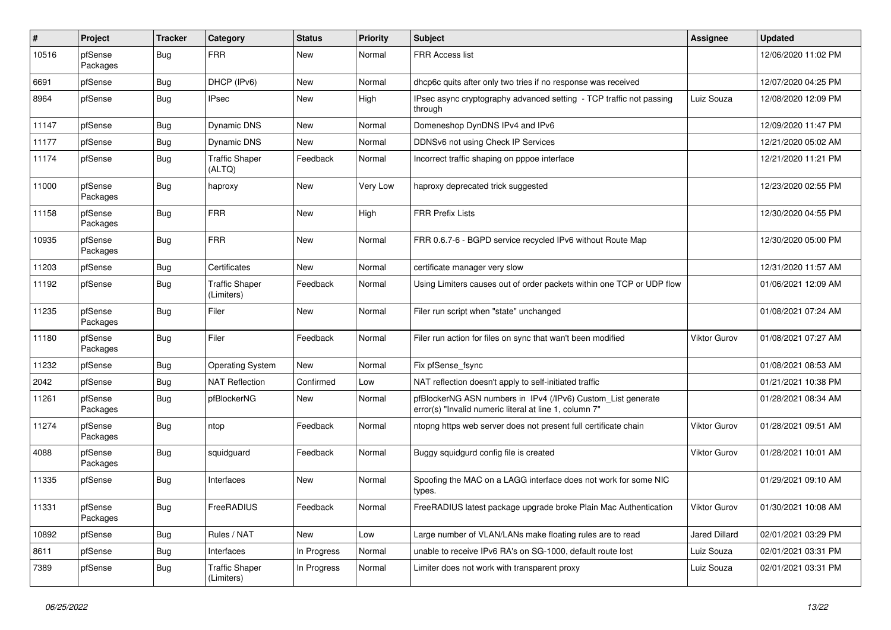| #     | Project             | <b>Tracker</b> | Category                            | <b>Status</b> | <b>Priority</b> | Subject                                                                                                                | <b>Assignee</b>     | <b>Updated</b>      |
|-------|---------------------|----------------|-------------------------------------|---------------|-----------------|------------------------------------------------------------------------------------------------------------------------|---------------------|---------------------|
| 10516 | pfSense<br>Packages | Bug            | <b>FRR</b>                          | New           | Normal          | <b>FRR Access list</b>                                                                                                 |                     | 12/06/2020 11:02 PM |
| 6691  | pfSense             | Bug            | DHCP (IPv6)                         | New           | Normal          | dhcp6c quits after only two tries if no response was received                                                          |                     | 12/07/2020 04:25 PM |
| 8964  | pfSense             | <b>Bug</b>     | IPsec                               | New           | High            | IPsec async cryptography advanced setting - TCP traffic not passing<br>through                                         | Luiz Souza          | 12/08/2020 12:09 PM |
| 11147 | pfSense             | Bug            | Dynamic DNS                         | New           | Normal          | Domeneshop DynDNS IPv4 and IPv6                                                                                        |                     | 12/09/2020 11:47 PM |
| 11177 | pfSense             | <b>Bug</b>     | <b>Dynamic DNS</b>                  | New           | Normal          | DDNSv6 not using Check IP Services                                                                                     |                     | 12/21/2020 05:02 AM |
| 11174 | pfSense             | Bug            | <b>Traffic Shaper</b><br>(ALTQ)     | Feedback      | Normal          | Incorrect traffic shaping on pppoe interface                                                                           |                     | 12/21/2020 11:21 PM |
| 11000 | pfSense<br>Packages | Bug            | haproxy                             | New           | Very Low        | haproxy deprecated trick suggested                                                                                     |                     | 12/23/2020 02:55 PM |
| 11158 | pfSense<br>Packages | Bug            | <b>FRR</b>                          | <b>New</b>    | High            | <b>FRR Prefix Lists</b>                                                                                                |                     | 12/30/2020 04:55 PM |
| 10935 | pfSense<br>Packages | <b>Bug</b>     | <b>FRR</b>                          | New           | Normal          | FRR 0.6.7-6 - BGPD service recycled IPv6 without Route Map                                                             |                     | 12/30/2020 05:00 PM |
| 11203 | pfSense             | Bug            | Certificates                        | New           | Normal          | certificate manager very slow                                                                                          |                     | 12/31/2020 11:57 AM |
| 11192 | pfSense             | <b>Bug</b>     | <b>Traffic Shaper</b><br>(Limiters) | Feedback      | Normal          | Using Limiters causes out of order packets within one TCP or UDP flow                                                  |                     | 01/06/2021 12:09 AM |
| 11235 | pfSense<br>Packages | Bug            | Filer                               | <b>New</b>    | Normal          | Filer run script when "state" unchanged                                                                                |                     | 01/08/2021 07:24 AM |
| 11180 | pfSense<br>Packages | Bug            | Filer                               | Feedback      | Normal          | Filer run action for files on sync that wan't been modified                                                            | Viktor Gurov        | 01/08/2021 07:27 AM |
| 11232 | pfSense             | Bug            | <b>Operating System</b>             | <b>New</b>    | Normal          | Fix pfSense_fsync                                                                                                      |                     | 01/08/2021 08:53 AM |
| 2042  | pfSense             | <b>Bug</b>     | <b>NAT Reflection</b>               | Confirmed     | Low             | NAT reflection doesn't apply to self-initiated traffic                                                                 |                     | 01/21/2021 10:38 PM |
| 11261 | pfSense<br>Packages | Bug            | pfBlockerNG                         | New           | Normal          | pfBlockerNG ASN numbers in IPv4 (/IPv6) Custom_List generate<br>error(s) "Invalid numeric literal at line 1, column 7" |                     | 01/28/2021 08:34 AM |
| 11274 | pfSense<br>Packages | <b>Bug</b>     | ntop                                | Feedback      | Normal          | ntopng https web server does not present full certificate chain                                                        | Viktor Gurov        | 01/28/2021 09:51 AM |
| 4088  | pfSense<br>Packages | Bug            | squidguard                          | Feedback      | Normal          | Buggy squidgurd config file is created                                                                                 | <b>Viktor Gurov</b> | 01/28/2021 10:01 AM |
| 11335 | pfSense             | Bug            | Interfaces                          | <b>New</b>    | Normal          | Spoofing the MAC on a LAGG interface does not work for some NIC<br>types.                                              |                     | 01/29/2021 09:10 AM |
| 11331 | pfSense<br>Packages | <b>Bug</b>     | FreeRADIUS                          | Feedback      | Normal          | FreeRADIUS latest package upgrade broke Plain Mac Authentication                                                       | Viktor Gurov        | 01/30/2021 10:08 AM |
| 10892 | pfSense             | <b>Bug</b>     | Rules / NAT                         | New           | Low             | Large number of VLAN/LANs make floating rules are to read                                                              | Jared Dillard       | 02/01/2021 03:29 PM |
| 8611  | pfSense             | Bug            | Interfaces                          | In Progress   | Normal          | unable to receive IPv6 RA's on SG-1000, default route lost                                                             | Luiz Souza          | 02/01/2021 03:31 PM |
| 7389  | pfSense             | <b>Bug</b>     | <b>Traffic Shaper</b><br>(Limiters) | In Progress   | Normal          | Limiter does not work with transparent proxy                                                                           | Luiz Souza          | 02/01/2021 03:31 PM |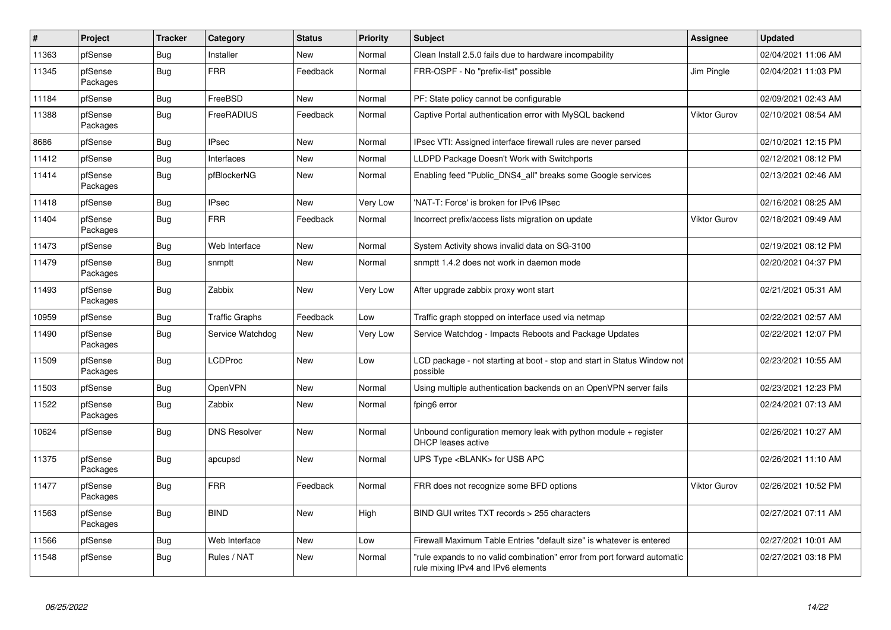| $\vert$ # | <b>Project</b>      | <b>Tracker</b> | Category              | <b>Status</b> | <b>Priority</b> | <b>Subject</b>                                                                                                 | <b>Assignee</b>     | <b>Updated</b>      |
|-----------|---------------------|----------------|-----------------------|---------------|-----------------|----------------------------------------------------------------------------------------------------------------|---------------------|---------------------|
| 11363     | pfSense             | Bug            | Installer             | <b>New</b>    | Normal          | Clean Install 2.5.0 fails due to hardware incompability                                                        |                     | 02/04/2021 11:06 AM |
| 11345     | pfSense<br>Packages | Bug            | <b>FRR</b>            | Feedback      | Normal          | FRR-OSPF - No "prefix-list" possible                                                                           | Jim Pingle          | 02/04/2021 11:03 PM |
| 11184     | pfSense             | Bug            | FreeBSD               | <b>New</b>    | Normal          | PF: State policy cannot be configurable                                                                        |                     | 02/09/2021 02:43 AM |
| 11388     | pfSense<br>Packages | Bug            | <b>FreeRADIUS</b>     | Feedback      | Normal          | Captive Portal authentication error with MySQL backend                                                         | <b>Viktor Gurov</b> | 02/10/2021 08:54 AM |
| 8686      | pfSense             | <b>Bug</b>     | <b>IPsec</b>          | <b>New</b>    | Normal          | IPsec VTI: Assigned interface firewall rules are never parsed                                                  |                     | 02/10/2021 12:15 PM |
| 11412     | pfSense             | <b>Bug</b>     | Interfaces            | New           | Normal          | LLDPD Package Doesn't Work with Switchports                                                                    |                     | 02/12/2021 08:12 PM |
| 11414     | pfSense<br>Packages | <b>Bug</b>     | pfBlockerNG           | <b>New</b>    | Normal          | Enabling feed "Public_DNS4_all" breaks some Google services                                                    |                     | 02/13/2021 02:46 AM |
| 11418     | pfSense             | Bug            | <b>IPsec</b>          | New           | Very Low        | 'NAT-T: Force' is broken for IPv6 IPsec                                                                        |                     | 02/16/2021 08:25 AM |
| 11404     | pfSense<br>Packages | Bug            | <b>FRR</b>            | Feedback      | Normal          | Incorrect prefix/access lists migration on update                                                              | <b>Viktor Gurov</b> | 02/18/2021 09:49 AM |
| 11473     | pfSense             | Bug            | Web Interface         | New           | Normal          | System Activity shows invalid data on SG-3100                                                                  |                     | 02/19/2021 08:12 PM |
| 11479     | pfSense<br>Packages | Bug            | snmptt                | <b>New</b>    | Normal          | snmptt 1.4.2 does not work in daemon mode                                                                      |                     | 02/20/2021 04:37 PM |
| 11493     | pfSense<br>Packages | Bug            | Zabbix                | New           | Very Low        | After upgrade zabbix proxy wont start                                                                          |                     | 02/21/2021 05:31 AM |
| 10959     | pfSense             | Bug            | <b>Traffic Graphs</b> | Feedback      | Low             | Traffic graph stopped on interface used via netmap                                                             |                     | 02/22/2021 02:57 AM |
| 11490     | pfSense<br>Packages | Bug            | Service Watchdog      | New           | Very Low        | Service Watchdog - Impacts Reboots and Package Updates                                                         |                     | 02/22/2021 12:07 PM |
| 11509     | pfSense<br>Packages | Bug            | LCDProc               | <b>New</b>    | Low             | LCD package - not starting at boot - stop and start in Status Window not<br>possible                           |                     | 02/23/2021 10:55 AM |
| 11503     | pfSense             | <b>Bug</b>     | <b>OpenVPN</b>        | New           | Normal          | Using multiple authentication backends on an OpenVPN server fails                                              |                     | 02/23/2021 12:23 PM |
| 11522     | pfSense<br>Packages | Bug            | Zabbix                | New           | Normal          | fping6 error                                                                                                   |                     | 02/24/2021 07:13 AM |
| 10624     | pfSense             | Bug            | <b>DNS Resolver</b>   | New           | Normal          | Unbound configuration memory leak with python module $+$ register<br>DHCP leases active                        |                     | 02/26/2021 10:27 AM |
| 11375     | pfSense<br>Packages | Bug            | apcupsd               | New           | Normal          | UPS Type <blank> for USB APC</blank>                                                                           |                     | 02/26/2021 11:10 AM |
| 11477     | pfSense<br>Packages | Bug            | <b>FRR</b>            | Feedback      | Normal          | FRR does not recognize some BFD options                                                                        | <b>Viktor Gurov</b> | 02/26/2021 10:52 PM |
| 11563     | pfSense<br>Packages | Bug            | <b>BIND</b>           | <b>New</b>    | High            | BIND GUI writes TXT records > 255 characters                                                                   |                     | 02/27/2021 07:11 AM |
| 11566     | pfSense             | Bug            | Web Interface         | New           | Low             | Firewall Maximum Table Entries "default size" is whatever is entered                                           |                     | 02/27/2021 10:01 AM |
| 11548     | pfSense             | <b>Bug</b>     | Rules / NAT           | <b>New</b>    | Normal          | "rule expands to no valid combination" error from port forward automatic<br>rule mixing IPv4 and IPv6 elements |                     | 02/27/2021 03:18 PM |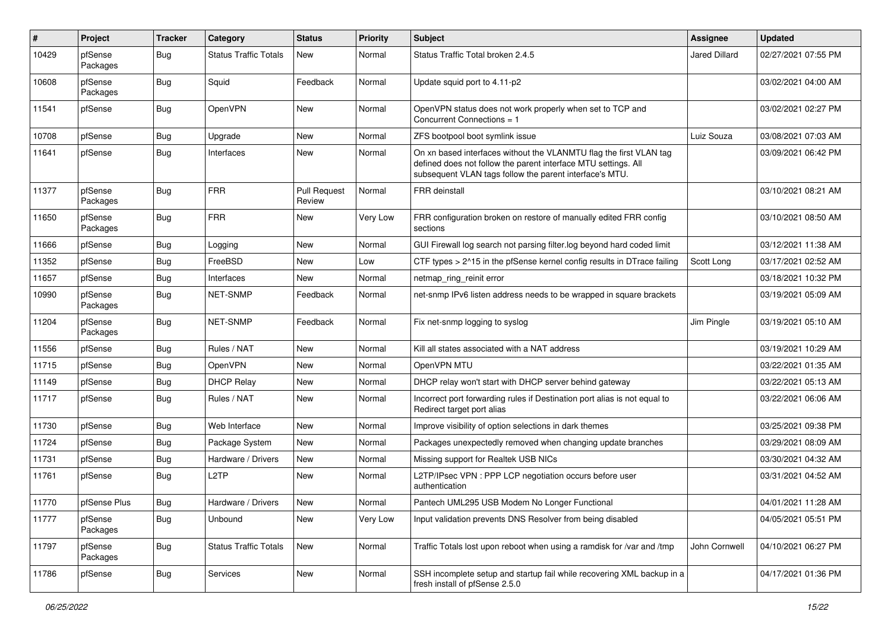| #     | Project             | <b>Tracker</b> | Category                     | <b>Status</b>                 | <b>Priority</b> | <b>Subject</b>                                                                                                                                                                                  | Assignee             | <b>Updated</b>      |
|-------|---------------------|----------------|------------------------------|-------------------------------|-----------------|-------------------------------------------------------------------------------------------------------------------------------------------------------------------------------------------------|----------------------|---------------------|
| 10429 | pfSense<br>Packages | Bug            | <b>Status Traffic Totals</b> | New                           | Normal          | Status Traffic Total broken 2.4.5                                                                                                                                                               | <b>Jared Dillard</b> | 02/27/2021 07:55 PM |
| 10608 | pfSense<br>Packages | Bug            | Squid                        | Feedback                      | Normal          | Update squid port to 4.11-p2                                                                                                                                                                    |                      | 03/02/2021 04:00 AM |
| 11541 | pfSense             | Bug            | OpenVPN                      | <b>New</b>                    | Normal          | OpenVPN status does not work properly when set to TCP and<br>Concurrent Connections = 1                                                                                                         |                      | 03/02/2021 02:27 PM |
| 10708 | pfSense             | Bug            | Upgrade                      | New                           | Normal          | ZFS bootpool boot symlink issue                                                                                                                                                                 | Luiz Souza           | 03/08/2021 07:03 AM |
| 11641 | pfSense             | Bug            | Interfaces                   | New                           | Normal          | On xn based interfaces without the VLANMTU flag the first VLAN tag<br>defined does not follow the parent interface MTU settings. All<br>subsequent VLAN tags follow the parent interface's MTU. |                      | 03/09/2021 06:42 PM |
| 11377 | pfSense<br>Packages | Bug            | <b>FRR</b>                   | <b>Pull Request</b><br>Review | Normal          | FRR deinstall                                                                                                                                                                                   |                      | 03/10/2021 08:21 AM |
| 11650 | pfSense<br>Packages | Bug            | <b>FRR</b>                   | New                           | Very Low        | FRR configuration broken on restore of manually edited FRR config<br>sections                                                                                                                   |                      | 03/10/2021 08:50 AM |
| 11666 | pfSense             | Bug            | Logging                      | New                           | Normal          | GUI Firewall log search not parsing filter.log beyond hard coded limit                                                                                                                          |                      | 03/12/2021 11:38 AM |
| 11352 | pfSense             | <b>Bug</b>     | FreeBSD                      | <b>New</b>                    | Low             | CTF types > 2^15 in the pfSense kernel config results in DTrace failing                                                                                                                         | Scott Long           | 03/17/2021 02:52 AM |
| 11657 | pfSense             | <b>Bug</b>     | Interfaces                   | New                           | Normal          | netmap ring reinit error                                                                                                                                                                        |                      | 03/18/2021 10:32 PM |
| 10990 | pfSense<br>Packages | <b>Bug</b>     | <b>NET-SNMP</b>              | Feedback                      | Normal          | net-snmp IPv6 listen address needs to be wrapped in square brackets                                                                                                                             |                      | 03/19/2021 05:09 AM |
| 11204 | pfSense<br>Packages | Bug            | <b>NET-SNMP</b>              | Feedback                      | Normal          | Fix net-snmp logging to syslog                                                                                                                                                                  | Jim Pingle           | 03/19/2021 05:10 AM |
| 11556 | pfSense             | Bug            | Rules / NAT                  | New                           | Normal          | Kill all states associated with a NAT address                                                                                                                                                   |                      | 03/19/2021 10:29 AM |
| 11715 | pfSense             | <b>Bug</b>     | <b>OpenVPN</b>               | New                           | Normal          | OpenVPN MTU                                                                                                                                                                                     |                      | 03/22/2021 01:35 AM |
| 11149 | pfSense             | Bug            | <b>DHCP Relay</b>            | New                           | Normal          | DHCP relay won't start with DHCP server behind gateway                                                                                                                                          |                      | 03/22/2021 05:13 AM |
| 11717 | pfSense             | <b>Bug</b>     | Rules / NAT                  | New                           | Normal          | Incorrect port forwarding rules if Destination port alias is not equal to<br>Redirect target port alias                                                                                         |                      | 03/22/2021 06:06 AM |
| 11730 | pfSense             | Bug            | Web Interface                | New                           | Normal          | Improve visibility of option selections in dark themes                                                                                                                                          |                      | 03/25/2021 09:38 PM |
| 11724 | pfSense             | <b>Bug</b>     | Package System               | New                           | Normal          | Packages unexpectedly removed when changing update branches                                                                                                                                     |                      | 03/29/2021 08:09 AM |
| 11731 | pfSense             | Bug            | Hardware / Drivers           | New                           | Normal          | Missing support for Realtek USB NICs                                                                                                                                                            |                      | 03/30/2021 04:32 AM |
| 11761 | pfSense             | <b>Bug</b>     | L <sub>2</sub> TP            | New                           | Normal          | L2TP/IPsec VPN : PPP LCP negotiation occurs before user<br>authentication                                                                                                                       |                      | 03/31/2021 04:52 AM |
| 11770 | pfSense Plus        | Bug            | Hardware / Drivers           | New                           | Normal          | Pantech UML295 USB Modem No Longer Functional                                                                                                                                                   |                      | 04/01/2021 11:28 AM |
| 11777 | pfSense<br>Packages | <b>Bug</b>     | Unbound                      | New                           | Very Low        | Input validation prevents DNS Resolver from being disabled                                                                                                                                      |                      | 04/05/2021 05:51 PM |
| 11797 | pfSense<br>Packages | <b>Bug</b>     | <b>Status Traffic Totals</b> | New                           | Normal          | Traffic Totals lost upon reboot when using a ramdisk for /var and /tmp                                                                                                                          | John Cornwell        | 04/10/2021 06:27 PM |
| 11786 | pfSense             | <b>Bug</b>     | Services                     | New                           | Normal          | SSH incomplete setup and startup fail while recovering XML backup in a<br>fresh install of pfSense 2.5.0                                                                                        |                      | 04/17/2021 01:36 PM |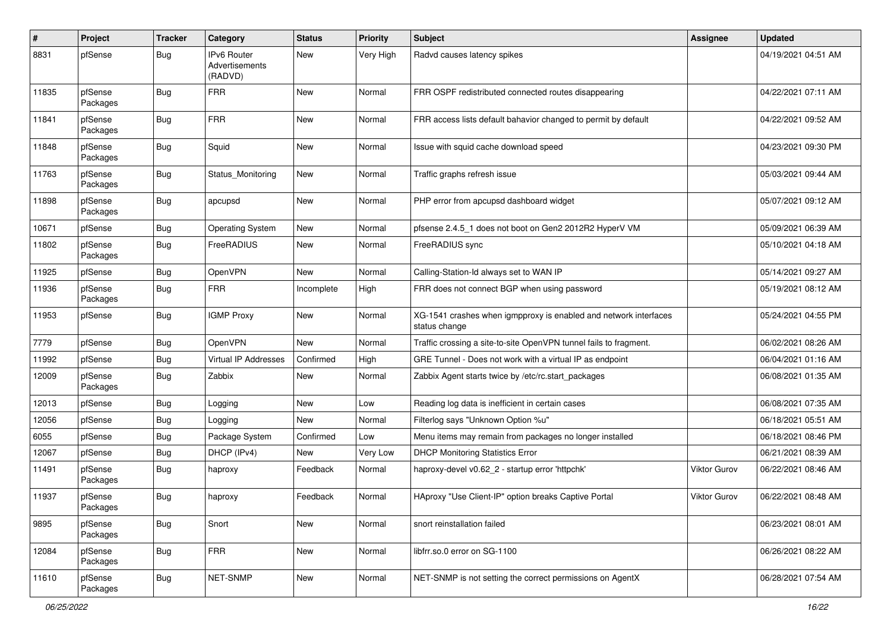| $\#$  | Project             | <b>Tracker</b> | Category                                        | <b>Status</b> | <b>Priority</b> | <b>Subject</b>                                                                    | <b>Assignee</b>     | <b>Updated</b>      |
|-------|---------------------|----------------|-------------------------------------------------|---------------|-----------------|-----------------------------------------------------------------------------------|---------------------|---------------------|
| 8831  | pfSense             | Bug            | <b>IPv6 Router</b><br>Advertisements<br>(RADVD) | New           | Very High       | Radvd causes latency spikes                                                       |                     | 04/19/2021 04:51 AM |
| 11835 | pfSense<br>Packages | Bug            | <b>FRR</b>                                      | New           | Normal          | FRR OSPF redistributed connected routes disappearing                              |                     | 04/22/2021 07:11 AM |
| 11841 | pfSense<br>Packages | Bug            | <b>FRR</b>                                      | New           | Normal          | FRR access lists default bahavior changed to permit by default                    |                     | 04/22/2021 09:52 AM |
| 11848 | pfSense<br>Packages | Bug            | Squid                                           | <b>New</b>    | Normal          | Issue with squid cache download speed                                             |                     | 04/23/2021 09:30 PM |
| 11763 | pfSense<br>Packages | <b>Bug</b>     | Status Monitoring                               | New           | Normal          | Traffic graphs refresh issue                                                      |                     | 05/03/2021 09:44 AM |
| 11898 | pfSense<br>Packages | Bug            | apcupsd                                         | <b>New</b>    | Normal          | PHP error from apcupsd dashboard widget                                           |                     | 05/07/2021 09:12 AM |
| 10671 | pfSense             | Bug            | <b>Operating System</b>                         | New           | Normal          | pfsense 2.4.5 1 does not boot on Gen2 2012R2 HyperV VM                            |                     | 05/09/2021 06:39 AM |
| 11802 | pfSense<br>Packages | <b>Bug</b>     | FreeRADIUS                                      | New           | Normal          | FreeRADIUS sync                                                                   |                     | 05/10/2021 04:18 AM |
| 11925 | pfSense             | Bug            | <b>OpenVPN</b>                                  | New           | Normal          | Calling-Station-Id always set to WAN IP                                           |                     | 05/14/2021 09:27 AM |
| 11936 | pfSense<br>Packages | Bug            | <b>FRR</b>                                      | Incomplete    | High            | FRR does not connect BGP when using password                                      |                     | 05/19/2021 08:12 AM |
| 11953 | pfSense             | Bug            | <b>IGMP Proxy</b>                               | <b>New</b>    | Normal          | XG-1541 crashes when igmpproxy is enabled and network interfaces<br>status change |                     | 05/24/2021 04:55 PM |
| 7779  | pfSense             | Bug            | OpenVPN                                         | New           | Normal          | Traffic crossing a site-to-site OpenVPN tunnel fails to fragment.                 |                     | 06/02/2021 08:26 AM |
| 11992 | pfSense             | <b>Bug</b>     | <b>Virtual IP Addresses</b>                     | Confirmed     | High            | GRE Tunnel - Does not work with a virtual IP as endpoint                          |                     | 06/04/2021 01:16 AM |
| 12009 | pfSense<br>Packages | <b>Bug</b>     | Zabbix                                          | New           | Normal          | Zabbix Agent starts twice by /etc/rc.start_packages                               |                     | 06/08/2021 01:35 AM |
| 12013 | pfSense             | Bug            | Logging                                         | <b>New</b>    | Low             | Reading log data is inefficient in certain cases                                  |                     | 06/08/2021 07:35 AM |
| 12056 | pfSense             | Bug            | Logging                                         | New           | Normal          | Filterlog says "Unknown Option %u"                                                |                     | 06/18/2021 05:51 AM |
| 6055  | pfSense             | Bug            | Package System                                  | Confirmed     | Low             | Menu items may remain from packages no longer installed                           |                     | 06/18/2021 08:46 PM |
| 12067 | pfSense             | Bug            | DHCP (IPv4)                                     | New           | Very Low        | <b>DHCP Monitoring Statistics Error</b>                                           |                     | 06/21/2021 08:39 AM |
| 11491 | pfSense<br>Packages | Bug            | haproxy                                         | Feedback      | Normal          | haproxy-devel v0.62_2 - startup error 'httpchk'                                   | Viktor Gurov        | 06/22/2021 08:46 AM |
| 11937 | pfSense<br>Packages | Bug            | haproxy                                         | Feedback      | Normal          | HAproxy "Use Client-IP" option breaks Captive Portal                              | <b>Viktor Gurov</b> | 06/22/2021 08:48 AM |
| 9895  | pfSense<br>Packages | <b>Bug</b>     | Snort                                           | New           | Normal          | snort reinstallation failed                                                       |                     | 06/23/2021 08:01 AM |
| 12084 | pfSense<br>Packages | <b>Bug</b>     | <b>FRR</b>                                      | New           | Normal          | libfrr.so.0 error on SG-1100                                                      |                     | 06/26/2021 08:22 AM |
| 11610 | pfSense<br>Packages | <b>Bug</b>     | NET-SNMP                                        | New           | Normal          | NET-SNMP is not setting the correct permissions on AgentX                         |                     | 06/28/2021 07:54 AM |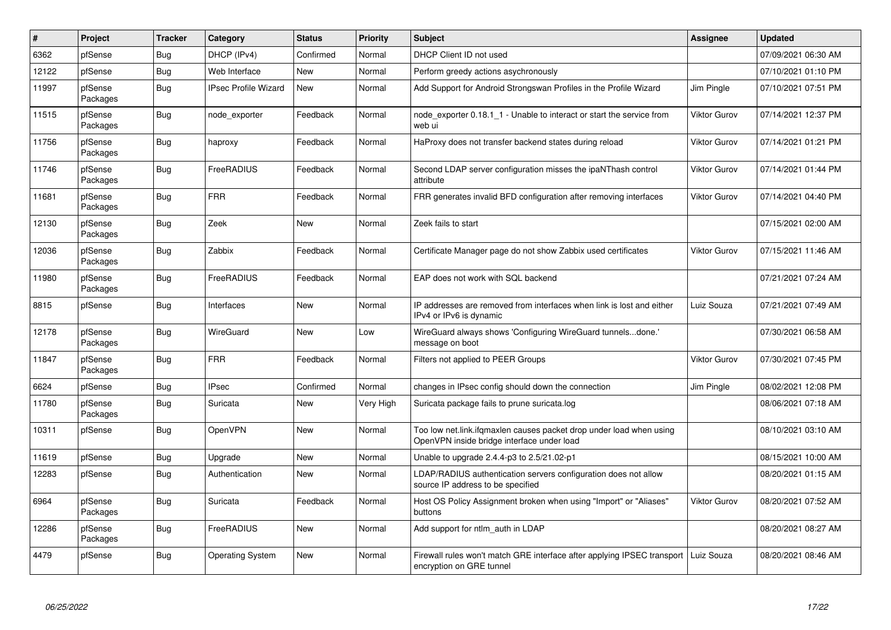| #     | Project             | <b>Tracker</b> | Category                    | <b>Status</b> | <b>Priority</b> | <b>Subject</b>                                                                                                    | <b>Assignee</b> | <b>Updated</b>      |
|-------|---------------------|----------------|-----------------------------|---------------|-----------------|-------------------------------------------------------------------------------------------------------------------|-----------------|---------------------|
| 6362  | pfSense             | <b>Bug</b>     | DHCP (IPv4)                 | Confirmed     | Normal          | DHCP Client ID not used                                                                                           |                 | 07/09/2021 06:30 AM |
| 12122 | pfSense             | <b>Bug</b>     | Web Interface               | <b>New</b>    | Normal          | Perform greedy actions asychronously                                                                              |                 | 07/10/2021 01:10 PM |
| 11997 | pfSense<br>Packages | Bug            | <b>IPsec Profile Wizard</b> | <b>New</b>    | Normal          | Add Support for Android Strongswan Profiles in the Profile Wizard                                                 | Jim Pingle      | 07/10/2021 07:51 PM |
| 11515 | pfSense<br>Packages | Bug            | node exporter               | Feedback      | Normal          | node exporter 0.18.1 1 - Unable to interact or start the service from<br>web ui                                   | Viktor Gurov    | 07/14/2021 12:37 PM |
| 11756 | pfSense<br>Packages | <b>Bug</b>     | haproxy                     | Feedback      | Normal          | HaProxy does not transfer backend states during reload                                                            | Viktor Gurov    | 07/14/2021 01:21 PM |
| 11746 | pfSense<br>Packages | <b>Bug</b>     | FreeRADIUS                  | Feedback      | Normal          | Second LDAP server configuration misses the ipaNThash control<br>attribute                                        | Viktor Gurov    | 07/14/2021 01:44 PM |
| 11681 | pfSense<br>Packages | <b>Bug</b>     | <b>FRR</b>                  | Feedback      | Normal          | FRR generates invalid BFD configuration after removing interfaces                                                 | Viktor Gurov    | 07/14/2021 04:40 PM |
| 12130 | pfSense<br>Packages | <b>Bug</b>     | Zeek                        | <b>New</b>    | Normal          | Zeek fails to start                                                                                               |                 | 07/15/2021 02:00 AM |
| 12036 | pfSense<br>Packages | Bug            | Zabbix                      | Feedback      | Normal          | Certificate Manager page do not show Zabbix used certificates                                                     | Viktor Gurov    | 07/15/2021 11:46 AM |
| 11980 | pfSense<br>Packages | Bug            | <b>FreeRADIUS</b>           | Feedback      | Normal          | EAP does not work with SQL backend                                                                                |                 | 07/21/2021 07:24 AM |
| 8815  | pfSense             | <b>Bug</b>     | Interfaces                  | New           | Normal          | IP addresses are removed from interfaces when link is lost and either<br>IPv4 or IPv6 is dynamic                  | Luiz Souza      | 07/21/2021 07:49 AM |
| 12178 | pfSense<br>Packages | Bug            | WireGuard                   | New           | Low             | WireGuard always shows 'Configuring WireGuard tunnelsdone.'<br>message on boot                                    |                 | 07/30/2021 06:58 AM |
| 11847 | pfSense<br>Packages | <b>Bug</b>     | <b>FRR</b>                  | Feedback      | Normal          | Filters not applied to PEER Groups                                                                                | Viktor Gurov    | 07/30/2021 07:45 PM |
| 6624  | pfSense             | <b>Bug</b>     | <b>IPsec</b>                | Confirmed     | Normal          | changes in IPsec config should down the connection                                                                | Jim Pingle      | 08/02/2021 12:08 PM |
| 11780 | pfSense<br>Packages | <b>Bug</b>     | Suricata                    | <b>New</b>    | Very High       | Suricata package fails to prune suricata.log                                                                      |                 | 08/06/2021 07:18 AM |
| 10311 | pfSense             | <b>Bug</b>     | <b>OpenVPN</b>              | New           | Normal          | Too low net.link.ifqmaxlen causes packet drop under load when using<br>OpenVPN inside bridge interface under load |                 | 08/10/2021 03:10 AM |
| 11619 | pfSense             | <b>Bug</b>     | Upgrade                     | <b>New</b>    | Normal          | Unable to upgrade 2.4.4-p3 to 2.5/21.02-p1                                                                        |                 | 08/15/2021 10:00 AM |
| 12283 | pfSense             | <b>Bug</b>     | Authentication              | New           | Normal          | LDAP/RADIUS authentication servers configuration does not allow<br>source IP address to be specified              |                 | 08/20/2021 01:15 AM |
| 6964  | pfSense<br>Packages | <b>Bug</b>     | Suricata                    | Feedback      | Normal          | Host OS Policy Assignment broken when using "Import" or "Aliases"<br>buttons                                      | Viktor Gurov    | 08/20/2021 07:52 AM |
| 12286 | pfSense<br>Packages | <b>Bug</b>     | FreeRADIUS                  | New           | Normal          | Add support for ntlm_auth in LDAP                                                                                 |                 | 08/20/2021 08:27 AM |
| 4479  | pfSense             | <b>Bug</b>     | <b>Operating System</b>     | New           | Normal          | Firewall rules won't match GRE interface after applying IPSEC transport<br>encryption on GRE tunnel               | Luiz Souza      | 08/20/2021 08:46 AM |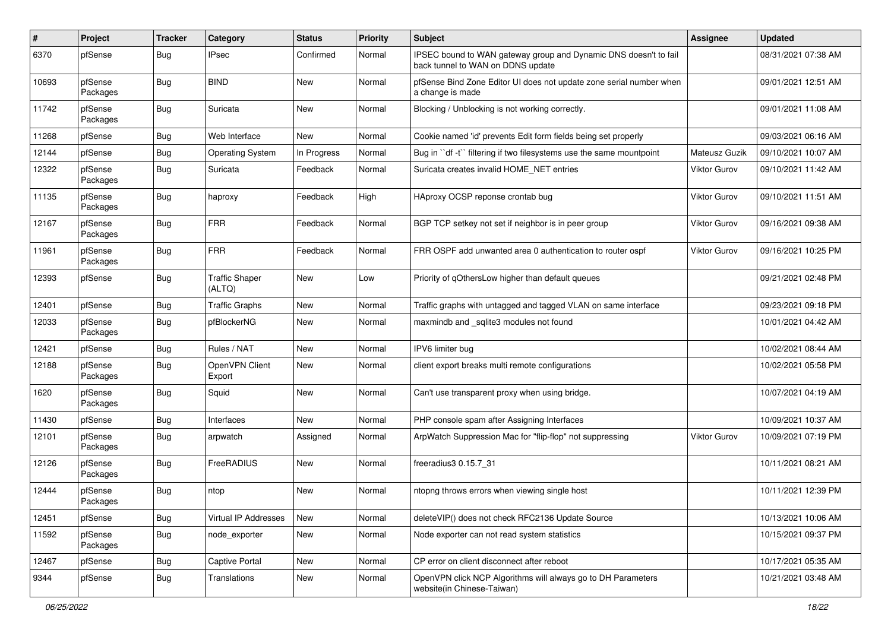| #     | Project             | <b>Tracker</b> | Category                        | <b>Status</b> | <b>Priority</b> | Subject                                                                                               | Assignee            | <b>Updated</b>      |
|-------|---------------------|----------------|---------------------------------|---------------|-----------------|-------------------------------------------------------------------------------------------------------|---------------------|---------------------|
| 6370  | pfSense             | <b>Bug</b>     | <b>IPsec</b>                    | Confirmed     | Normal          | IPSEC bound to WAN gateway group and Dynamic DNS doesn't to fail<br>back tunnel to WAN on DDNS update |                     | 08/31/2021 07:38 AM |
| 10693 | pfSense<br>Packages | <b>Bug</b>     | <b>BIND</b>                     | New           | Normal          | pfSense Bind Zone Editor UI does not update zone serial number when<br>a change is made               |                     | 09/01/2021 12:51 AM |
| 11742 | pfSense<br>Packages | <b>Bug</b>     | Suricata                        | New           | Normal          | Blocking / Unblocking is not working correctly.                                                       |                     | 09/01/2021 11:08 AM |
| 11268 | pfSense             | <b>Bug</b>     | Web Interface                   | New           | Normal          | Cookie named 'id' prevents Edit form fields being set properly                                        |                     | 09/03/2021 06:16 AM |
| 12144 | pfSense             | Bug            | <b>Operating System</b>         | In Progress   | Normal          | Bug in "df -t" filtering if two filesystems use the same mountpoint                                   | Mateusz Guzik       | 09/10/2021 10:07 AM |
| 12322 | pfSense<br>Packages | <b>Bug</b>     | Suricata                        | Feedback      | Normal          | Suricata creates invalid HOME_NET entries                                                             | Viktor Gurov        | 09/10/2021 11:42 AM |
| 11135 | pfSense<br>Packages | <b>Bug</b>     | haproxy                         | Feedback      | High            | HAproxy OCSP reponse crontab bug                                                                      | <b>Viktor Gurov</b> | 09/10/2021 11:51 AM |
| 12167 | pfSense<br>Packages | <b>Bug</b>     | <b>FRR</b>                      | Feedback      | Normal          | BGP TCP setkey not set if neighbor is in peer group                                                   | Viktor Gurov        | 09/16/2021 09:38 AM |
| 11961 | pfSense<br>Packages | <b>Bug</b>     | FRR                             | Feedback      | Normal          | FRR OSPF add unwanted area 0 authentication to router ospf                                            | <b>Viktor Gurov</b> | 09/16/2021 10:25 PM |
| 12393 | pfSense             | <b>Bug</b>     | <b>Traffic Shaper</b><br>(ALTQ) | New           | Low             | Priority of qOthersLow higher than default queues                                                     |                     | 09/21/2021 02:48 PM |
| 12401 | pfSense             | Bug            | <b>Traffic Graphs</b>           | New           | Normal          | Traffic graphs with untagged and tagged VLAN on same interface                                        |                     | 09/23/2021 09:18 PM |
| 12033 | pfSense<br>Packages | <b>Bug</b>     | pfBlockerNG                     | New           | Normal          | maxmindb and _sqlite3 modules not found                                                               |                     | 10/01/2021 04:42 AM |
| 12421 | pfSense             | Bug            | Rules / NAT                     | <b>New</b>    | Normal          | IPV6 limiter bug                                                                                      |                     | 10/02/2021 08:44 AM |
| 12188 | pfSense<br>Packages | <b>Bug</b>     | OpenVPN Client<br>Export        | New           | Normal          | client export breaks multi remote configurations                                                      |                     | 10/02/2021 05:58 PM |
| 1620  | pfSense<br>Packages | Bug            | Squid                           | New           | Normal          | Can't use transparent proxy when using bridge.                                                        |                     | 10/07/2021 04:19 AM |
| 11430 | pfSense             | <b>Bug</b>     | Interfaces                      | New           | Normal          | PHP console spam after Assigning Interfaces                                                           |                     | 10/09/2021 10:37 AM |
| 12101 | pfSense<br>Packages | Bug            | arpwatch                        | Assigned      | Normal          | ArpWatch Suppression Mac for "flip-flop" not suppressing                                              | Viktor Gurov        | 10/09/2021 07:19 PM |
| 12126 | pfSense<br>Packages | <b>Bug</b>     | FreeRADIUS                      | New           | Normal          | freeradius3 0.15.7 31                                                                                 |                     | 10/11/2021 08:21 AM |
| 12444 | pfSense<br>Packages | <b>Bug</b>     | ntop                            | New           | Normal          | ntopng throws errors when viewing single host                                                         |                     | 10/11/2021 12:39 PM |
| 12451 | pfSense             | <b>Bug</b>     | Virtual IP Addresses            | <b>New</b>    | Normal          | deleteVIP() does not check RFC2136 Update Source                                                      |                     | 10/13/2021 10:06 AM |
| 11592 | pfSense<br>Packages | <b>Bug</b>     | node exporter                   | New           | Normal          | Node exporter can not read system statistics                                                          |                     | 10/15/2021 09:37 PM |
| 12467 | pfSense             | Bug            | Captive Portal                  | New           | Normal          | CP error on client disconnect after reboot                                                            |                     | 10/17/2021 05:35 AM |
| 9344  | pfSense             | Bug            | Translations                    | New           | Normal          | OpenVPN click NCP Algorithms will always go to DH Parameters<br>website(in Chinese-Taiwan)            |                     | 10/21/2021 03:48 AM |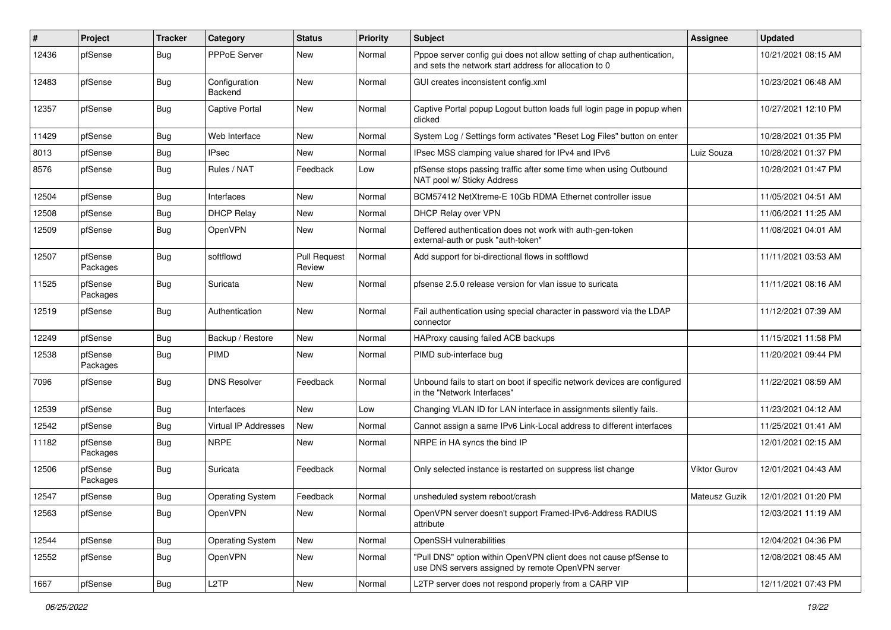| #     | Project             | <b>Tracker</b> | Category                    | <b>Status</b>                 | <b>Priority</b> | <b>Subject</b>                                                                                                                   | Assignee      | <b>Updated</b>      |
|-------|---------------------|----------------|-----------------------------|-------------------------------|-----------------|----------------------------------------------------------------------------------------------------------------------------------|---------------|---------------------|
| 12436 | pfSense             | Bug            | PPPoE Server                | New                           | Normal          | Pppoe server config gui does not allow setting of chap authentication,<br>and sets the network start address for allocation to 0 |               | 10/21/2021 08:15 AM |
| 12483 | pfSense             | Bug            | Configuration<br>Backend    | New                           | Normal          | GUI creates inconsistent config.xml                                                                                              |               | 10/23/2021 06:48 AM |
| 12357 | pfSense             | <b>Bug</b>     | Captive Portal              | New                           | Normal          | Captive Portal popup Logout button loads full login page in popup when<br>clicked                                                |               | 10/27/2021 12:10 PM |
| 11429 | pfSense             | Bug            | Web Interface               | New                           | Normal          | System Log / Settings form activates "Reset Log Files" button on enter                                                           |               | 10/28/2021 01:35 PM |
| 8013  | pfSense             | Bug            | <b>IPsec</b>                | New                           | Normal          | IPsec MSS clamping value shared for IPv4 and IPv6                                                                                | Luiz Souza    | 10/28/2021 01:37 PM |
| 8576  | pfSense             | Bug            | Rules / NAT                 | Feedback                      | Low             | pfSense stops passing traffic after some time when using Outbound<br>NAT pool w/ Sticky Address                                  |               | 10/28/2021 01:47 PM |
| 12504 | pfSense             | Bug            | Interfaces                  | New                           | Normal          | BCM57412 NetXtreme-E 10Gb RDMA Ethernet controller issue                                                                         |               | 11/05/2021 04:51 AM |
| 12508 | pfSense             | Bug            | <b>DHCP Relay</b>           | New                           | Normal          | DHCP Relay over VPN                                                                                                              |               | 11/06/2021 11:25 AM |
| 12509 | pfSense             | Bug            | OpenVPN                     | New                           | Normal          | Deffered authentication does not work with auth-gen-token<br>external-auth or pusk "auth-token"                                  |               | 11/08/2021 04:01 AM |
| 12507 | pfSense<br>Packages | Bug            | softflowd                   | <b>Pull Request</b><br>Review | Normal          | Add support for bi-directional flows in softflowd                                                                                |               | 11/11/2021 03:53 AM |
| 11525 | pfSense<br>Packages | Bug            | Suricata                    | <b>New</b>                    | Normal          | pfsense 2.5.0 release version for vlan issue to suricata                                                                         |               | 11/11/2021 08:16 AM |
| 12519 | pfSense             | Bug            | Authentication              | New                           | Normal          | Fail authentication using special character in password via the LDAP<br>connector                                                |               | 11/12/2021 07:39 AM |
| 12249 | pfSense             | Bug            | Backup / Restore            | <b>New</b>                    | Normal          | HAProxy causing failed ACB backups                                                                                               |               | 11/15/2021 11:58 PM |
| 12538 | pfSense<br>Packages | Bug            | <b>PIMD</b>                 | New                           | Normal          | PIMD sub-interface bug                                                                                                           |               | 11/20/2021 09:44 PM |
| 7096  | pfSense             | Bug            | <b>DNS Resolver</b>         | Feedback                      | Normal          | Unbound fails to start on boot if specific network devices are configured<br>in the "Network Interfaces"                         |               | 11/22/2021 08:59 AM |
| 12539 | pfSense             | Bug            | Interfaces                  | <b>New</b>                    | Low             | Changing VLAN ID for LAN interface in assignments silently fails.                                                                |               | 11/23/2021 04:12 AM |
| 12542 | pfSense             | Bug            | <b>Virtual IP Addresses</b> | New                           | Normal          | Cannot assign a same IPv6 Link-Local address to different interfaces                                                             |               | 11/25/2021 01:41 AM |
| 11182 | pfSense<br>Packages | Bug            | <b>NRPE</b>                 | New                           | Normal          | NRPE in HA syncs the bind IP                                                                                                     |               | 12/01/2021 02:15 AM |
| 12506 | pfSense<br>Packages | Bug            | Suricata                    | Feedback                      | Normal          | Only selected instance is restarted on suppress list change                                                                      | Viktor Gurov  | 12/01/2021 04:43 AM |
| 12547 | pfSense             | <b>Bug</b>     | <b>Operating System</b>     | Feedback                      | Normal          | unsheduled system reboot/crash                                                                                                   | Mateusz Guzik | 12/01/2021 01:20 PM |
| 12563 | pfSense             | <b>Bug</b>     | <b>OpenVPN</b>              | New                           | Normal          | OpenVPN server doesn't support Framed-IPv6-Address RADIUS<br>attribute                                                           |               | 12/03/2021 11:19 AM |
| 12544 | pfSense             | <b>Bug</b>     | <b>Operating System</b>     | New                           | Normal          | OpenSSH vulnerabilities                                                                                                          |               | 12/04/2021 04:36 PM |
| 12552 | pfSense             | <b>Bug</b>     | <b>OpenVPN</b>              | New                           | Normal          | "Pull DNS" option within OpenVPN client does not cause pfSense to<br>use DNS servers assigned by remote OpenVPN server           |               | 12/08/2021 08:45 AM |
| 1667  | pfSense             | Bug            | L <sub>2</sub> TP           | New                           | Normal          | L2TP server does not respond properly from a CARP VIP                                                                            |               | 12/11/2021 07:43 PM |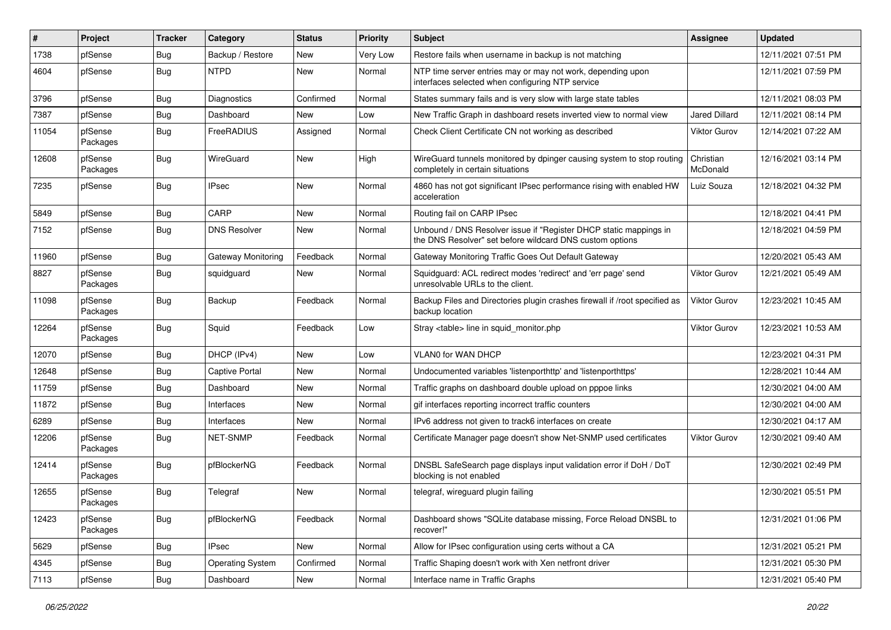| ∦     | Project             | <b>Tracker</b> | Category                | <b>Status</b> | <b>Priority</b> | Subject                                                                                                                       | Assignee              | <b>Updated</b>      |
|-------|---------------------|----------------|-------------------------|---------------|-----------------|-------------------------------------------------------------------------------------------------------------------------------|-----------------------|---------------------|
| 1738  | pfSense             | <b>Bug</b>     | Backup / Restore        | New           | Very Low        | Restore fails when username in backup is not matching                                                                         |                       | 12/11/2021 07:51 PM |
| 4604  | pfSense             | <b>Bug</b>     | <b>NTPD</b>             | New           | Normal          | NTP time server entries may or may not work, depending upon<br>interfaces selected when configuring NTP service               |                       | 12/11/2021 07:59 PM |
| 3796  | pfSense             | Bug            | <b>Diagnostics</b>      | Confirmed     | Normal          | States summary fails and is very slow with large state tables                                                                 |                       | 12/11/2021 08:03 PM |
| 7387  | pfSense             | Bug            | Dashboard               | <b>New</b>    | Low             | New Traffic Graph in dashboard resets inverted view to normal view                                                            | <b>Jared Dillard</b>  | 12/11/2021 08:14 PM |
| 11054 | pfSense<br>Packages | Bug            | FreeRADIUS              | Assigned      | Normal          | Check Client Certificate CN not working as described                                                                          | <b>Viktor Gurov</b>   | 12/14/2021 07:22 AM |
| 12608 | pfSense<br>Packages | <b>Bug</b>     | WireGuard               | New           | High            | WireGuard tunnels monitored by dpinger causing system to stop routing<br>completely in certain situations                     | Christian<br>McDonald | 12/16/2021 03:14 PM |
| 7235  | pfSense             | <b>Bug</b>     | <b>IPsec</b>            | New           | Normal          | 4860 has not got significant IPsec performance rising with enabled HW<br>acceleration                                         | Luiz Souza            | 12/18/2021 04:32 PM |
| 5849  | pfSense             | Bug            | CARP                    | <b>New</b>    | Normal          | Routing fail on CARP IPsec                                                                                                    |                       | 12/18/2021 04:41 PM |
| 7152  | pfSense             | Bug            | <b>DNS Resolver</b>     | New           | Normal          | Unbound / DNS Resolver issue if "Register DHCP static mappings in<br>the DNS Resolver" set before wildcard DNS custom options |                       | 12/18/2021 04:59 PM |
| 11960 | pfSense             | Bug            | Gateway Monitoring      | Feedback      | Normal          | Gateway Monitoring Traffic Goes Out Default Gateway                                                                           |                       | 12/20/2021 05:43 AM |
| 8827  | pfSense<br>Packages | <b>Bug</b>     | squidguard              | New           | Normal          | Squidguard: ACL redirect modes 'redirect' and 'err page' send<br>unresolvable URLs to the client.                             | Viktor Gurov          | 12/21/2021 05:49 AM |
| 11098 | pfSense<br>Packages | <b>Bug</b>     | Backup                  | Feedback      | Normal          | Backup Files and Directories plugin crashes firewall if /root specified as<br>backup location                                 | <b>Viktor Gurov</b>   | 12/23/2021 10:45 AM |
| 12264 | pfSense<br>Packages | <b>Bug</b>     | Squid                   | Feedback      | Low             | Stray <table> line in squid monitor.php</table>                                                                               | <b>Viktor Gurov</b>   | 12/23/2021 10:53 AM |
| 12070 | pfSense             | <b>Bug</b>     | DHCP (IPv4)             | New           | Low             | VLAN0 for WAN DHCP                                                                                                            |                       | 12/23/2021 04:31 PM |
| 12648 | pfSense             | Bug            | <b>Captive Portal</b>   | New           | Normal          | Undocumented variables 'listenporthttp' and 'listenporthttps'                                                                 |                       | 12/28/2021 10:44 AM |
| 11759 | pfSense             | Bug            | Dashboard               | New           | Normal          | Traffic graphs on dashboard double upload on pppoe links                                                                      |                       | 12/30/2021 04:00 AM |
| 11872 | pfSense             | <b>Bug</b>     | Interfaces              | New           | Normal          | gif interfaces reporting incorrect traffic counters                                                                           |                       | 12/30/2021 04:00 AM |
| 6289  | pfSense             | <b>Bug</b>     | Interfaces              | New           | Normal          | IPv6 address not given to track6 interfaces on create                                                                         |                       | 12/30/2021 04:17 AM |
| 12206 | pfSense<br>Packages | Bug            | NET-SNMP                | Feedback      | Normal          | Certificate Manager page doesn't show Net-SNMP used certificates                                                              | Viktor Gurov          | 12/30/2021 09:40 AM |
| 12414 | pfSense<br>Packages | <b>Bug</b>     | pfBlockerNG             | Feedback      | Normal          | DNSBL SafeSearch page displays input validation error if DoH / DoT<br>blocking is not enabled                                 |                       | 12/30/2021 02:49 PM |
| 12655 | pfSense<br>Packages | Bug            | Telegraf                | New           | Normal          | telegraf, wireguard plugin failing                                                                                            |                       | 12/30/2021 05:51 PM |
| 12423 | pfSense<br>Packages | Bug            | pfBlockerNG             | Feedback      | Normal          | Dashboard shows "SQLite database missing, Force Reload DNSBL to<br>recover!"                                                  |                       | 12/31/2021 01:06 PM |
| 5629  | pfSense             | <b>Bug</b>     | <b>IPsec</b>            | New           | Normal          | Allow for IPsec configuration using certs without a CA                                                                        |                       | 12/31/2021 05:21 PM |
| 4345  | pfSense             | <b>Bug</b>     | <b>Operating System</b> | Confirmed     | Normal          | Traffic Shaping doesn't work with Xen netfront driver                                                                         |                       | 12/31/2021 05:30 PM |
| 7113  | pfSense             | <b>Bug</b>     | Dashboard               | New           | Normal          | Interface name in Traffic Graphs                                                                                              |                       | 12/31/2021 05:40 PM |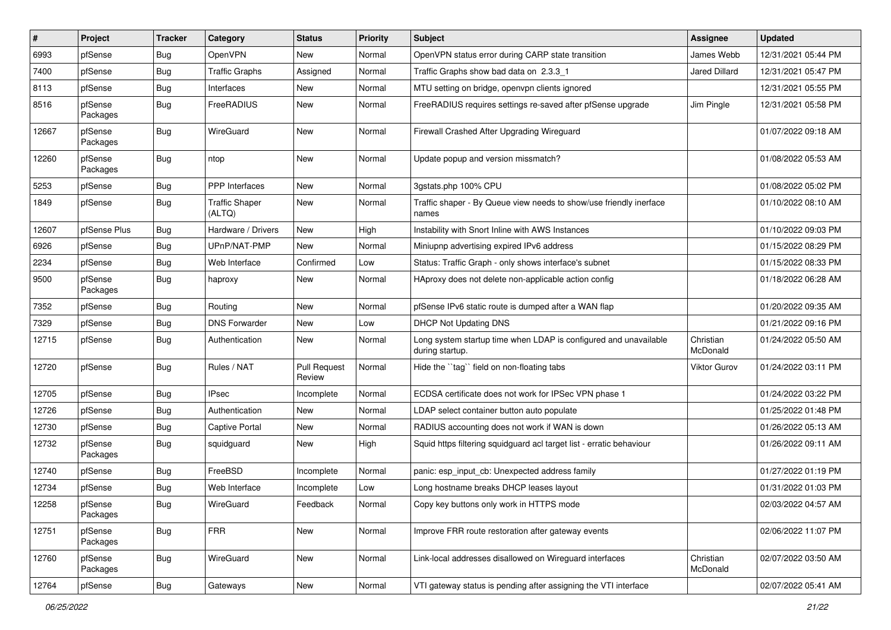| ∦     | Project             | <b>Tracker</b> | Category                        | <b>Status</b>                 | <b>Priority</b> | <b>Subject</b>                                                                      | Assignee              | <b>Updated</b>      |
|-------|---------------------|----------------|---------------------------------|-------------------------------|-----------------|-------------------------------------------------------------------------------------|-----------------------|---------------------|
| 6993  | pfSense             | <b>Bug</b>     | OpenVPN                         | New                           | Normal          | OpenVPN status error during CARP state transition                                   | James Webb            | 12/31/2021 05:44 PM |
| 7400  | pfSense             | <b>Bug</b>     | <b>Traffic Graphs</b>           | Assigned                      | Normal          | Traffic Graphs show bad data on 2.3.3_1                                             | Jared Dillard         | 12/31/2021 05:47 PM |
| 8113  | pfSense             | <b>Bug</b>     | Interfaces                      | New                           | Normal          | MTU setting on bridge, openvpn clients ignored                                      |                       | 12/31/2021 05:55 PM |
| 8516  | pfSense<br>Packages | <b>Bug</b>     | <b>FreeRADIUS</b>               | New                           | Normal          | FreeRADIUS requires settings re-saved after pfSense upgrade                         | Jim Pingle            | 12/31/2021 05:58 PM |
| 12667 | pfSense<br>Packages | <b>Bug</b>     | WireGuard                       | New                           | Normal          | Firewall Crashed After Upgrading Wireguard                                          |                       | 01/07/2022 09:18 AM |
| 12260 | pfSense<br>Packages | Bug            | ntop                            | New                           | Normal          | Update popup and version missmatch?                                                 |                       | 01/08/2022 05:53 AM |
| 5253  | pfSense             | Bug            | PPP Interfaces                  | New                           | Normal          | 3gstats.php 100% CPU                                                                |                       | 01/08/2022 05:02 PM |
| 1849  | pfSense             | Bug            | <b>Traffic Shaper</b><br>(ALTQ) | New                           | Normal          | Traffic shaper - By Queue view needs to show/use friendly inerface<br>names         |                       | 01/10/2022 08:10 AM |
| 12607 | pfSense Plus        | Bug            | Hardware / Drivers              | New                           | High            | Instability with Snort Inline with AWS Instances                                    |                       | 01/10/2022 09:03 PM |
| 6926  | pfSense             | <b>Bug</b>     | UPnP/NAT-PMP                    | New                           | Normal          | Miniupnp advertising expired IPv6 address                                           |                       | 01/15/2022 08:29 PM |
| 2234  | pfSense             | <b>Bug</b>     | Web Interface                   | Confirmed                     | Low             | Status: Traffic Graph - only shows interface's subnet                               |                       | 01/15/2022 08:33 PM |
| 9500  | pfSense<br>Packages | Bug            | haproxy                         | New                           | Normal          | HAproxy does not delete non-applicable action config                                |                       | 01/18/2022 06:28 AM |
| 7352  | pfSense             | <b>Bug</b>     | Routing                         | New                           | Normal          | pfSense IPv6 static route is dumped after a WAN flap                                |                       | 01/20/2022 09:35 AM |
| 7329  | pfSense             | <b>Bug</b>     | <b>DNS Forwarder</b>            | New                           | Low             | <b>DHCP Not Updating DNS</b>                                                        |                       | 01/21/2022 09:16 PM |
| 12715 | pfSense             | <b>Bug</b>     | Authentication                  | New                           | Normal          | Long system startup time when LDAP is configured and unavailable<br>during startup. | Christian<br>McDonald | 01/24/2022 05:50 AM |
| 12720 | pfSense             | Bug            | Rules / NAT                     | <b>Pull Request</b><br>Review | Normal          | Hide the "tag" field on non-floating tabs                                           | Viktor Gurov          | 01/24/2022 03:11 PM |
| 12705 | pfSense             | <b>Bug</b>     | <b>IPsec</b>                    | Incomplete                    | Normal          | ECDSA certificate does not work for IPSec VPN phase 1                               |                       | 01/24/2022 03:22 PM |
| 12726 | pfSense             | <b>Bug</b>     | Authentication                  | New                           | Normal          | LDAP select container button auto populate                                          |                       | 01/25/2022 01:48 PM |
| 12730 | pfSense             | Bug            | Captive Portal                  | New                           | Normal          | RADIUS accounting does not work if WAN is down                                      |                       | 01/26/2022 05:13 AM |
| 12732 | pfSense<br>Packages | Bug            | squidguard                      | New                           | High            | Squid https filtering squidguard acl target list - erratic behaviour                |                       | 01/26/2022 09:11 AM |
| 12740 | pfSense             | Bug            | FreeBSD                         | Incomplete                    | Normal          | panic: esp_input_cb: Unexpected address family                                      |                       | 01/27/2022 01:19 PM |
| 12734 | pfSense             | <b>Bug</b>     | Web Interface                   | Incomplete                    | Low             | Long hostname breaks DHCP leases layout                                             |                       | 01/31/2022 01:03 PM |
| 12258 | pfSense<br>Packages | Bug            | WireGuard                       | Feedback                      | Normal          | Copy key buttons only work in HTTPS mode                                            |                       | 02/03/2022 04:57 AM |
| 12751 | pfSense<br>Packages | <b>Bug</b>     | <b>FRR</b>                      | New                           | Normal          | Improve FRR route restoration after gateway events                                  |                       | 02/06/2022 11:07 PM |
| 12760 | pfSense<br>Packages | Bug            | WireGuard                       | New                           | Normal          | Link-local addresses disallowed on Wireguard interfaces                             | Christian<br>McDonald | 02/07/2022 03:50 AM |
| 12764 | pfSense             | Bug            | Gateways                        | New                           | Normal          | VTI gateway status is pending after assigning the VTI interface                     |                       | 02/07/2022 05:41 AM |